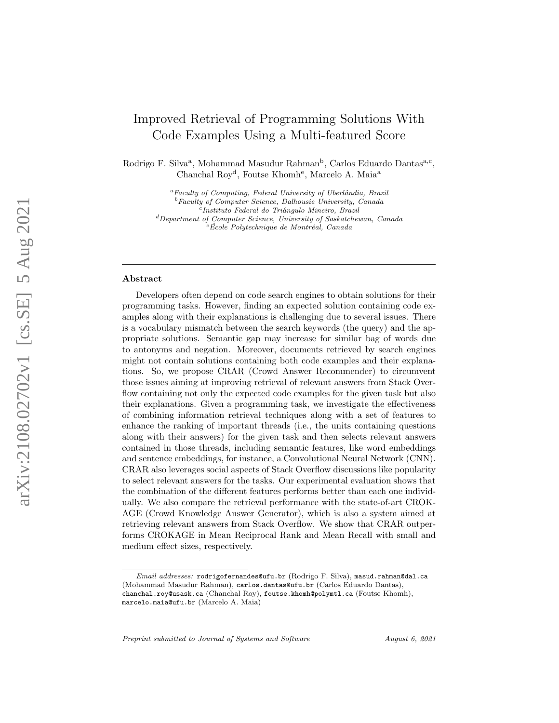# Improved Retrieval of Programming Solutions With Code Examples Using a Multi-featured Score

Rodrigo F. Silva<sup>a</sup>, Mohammad Masudur Rahman<sup>b</sup>, Carlos Eduardo Dantas<sup>a,c</sup>, Chanchal Roy<sup>d</sup>, Foutse Khomh<sup>e</sup>, Marcelo A. Maia<sup>a</sup>

> ${}^a$ Faculty of Computing, Federal University of Uberlândia, Brazil <sup>b</sup>Faculty of Computer Science, Dalhousie University, Canada <sup>c</sup>Instituto Federal do Triângulo Mineiro, Brazil <sup>d</sup>Department of Computer Science, University of Saskatchewan, Canada  $e$ École Polytechnique de Montréal, Canada

#### Abstract

Developers often depend on code search engines to obtain solutions for their programming tasks. However, finding an expected solution containing code examples along with their explanations is challenging due to several issues. There is a vocabulary mismatch between the search keywords (the query) and the appropriate solutions. Semantic gap may increase for similar bag of words due to antonyms and negation. Moreover, documents retrieved by search engines might not contain solutions containing both code examples and their explanations. So, we propose CRAR (Crowd Answer Recommender) to circumvent those issues aiming at improving retrieval of relevant answers from Stack Overflow containing not only the expected code examples for the given task but also their explanations. Given a programming task, we investigate the effectiveness of combining information retrieval techniques along with a set of features to enhance the ranking of important threads (i.e., the units containing questions along with their answers) for the given task and then selects relevant answers contained in those threads, including semantic features, like word embeddings and sentence embeddings, for instance, a Convolutional Neural Network (CNN). CRAR also leverages social aspects of Stack Overflow discussions like popularity to select relevant answers for the tasks. Our experimental evaluation shows that the combination of the different features performs better than each one individually. We also compare the retrieval performance with the state-of-art CROK-AGE (Crowd Knowledge Answer Generator), which is also a system aimed at retrieving relevant answers from Stack Overflow. We show that CRAR outperforms CROKAGE in Mean Reciprocal Rank and Mean Recall with small and medium effect sizes, respectively.

Preprint submitted to Journal of Systems and Software August 6, 2021

Email addresses: rodrigofernandes@ufu.br (Rodrigo F. Silva), masud.rahman@dal.ca (Mohammad Masudur Rahman), carlos.dantas@ufu.br (Carlos Eduardo Dantas), chanchal.roy@usask.ca (Chanchal Roy), foutse.khomh@polymtl.ca (Foutse Khomh), marcelo.maia@ufu.br (Marcelo A. Maia)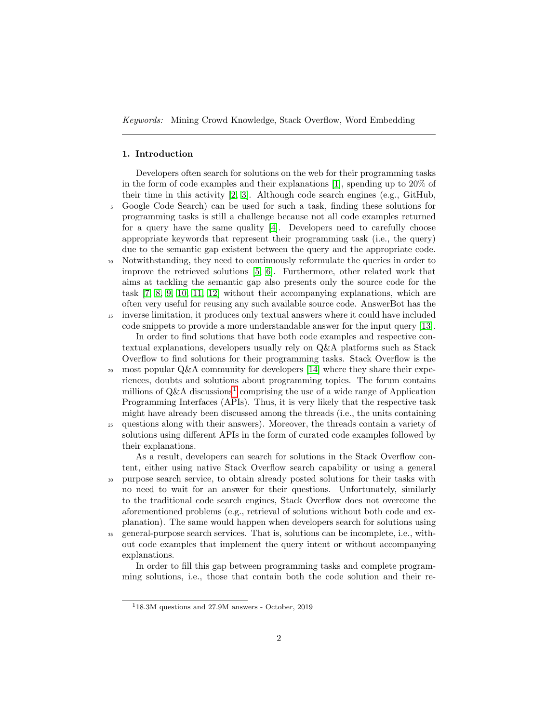#### 1. Introduction

Developers often search for solutions on the web for their programming tasks in the form of code examples and their explanations [\[1\]](#page-26-0), spending up to 20% of their time in this activity [\[2,](#page-26-1) [3\]](#page-26-2). Although code search engines (e.g., GitHub, <sup>5</sup> Google Code Search) can be used for such a task, finding these solutions for programming tasks is still a challenge because not all code examples returned for a query have the same quality [\[4\]](#page-26-3). Developers need to carefully choose appropriate keywords that represent their programming task (i.e., the query) due to the semantic gap existent between the query and the appropriate code.

<sup>10</sup> Notwithstanding, they need to continuously reformulate the queries in order to improve the retrieved solutions [\[5,](#page-26-4) [6\]](#page-27-0). Furthermore, other related work that aims at tackling the semantic gap also presents only the source code for the task [\[7,](#page-27-1) [8,](#page-27-2) [9,](#page-27-3) [10,](#page-27-4) [11,](#page-27-5) [12\]](#page-27-6) without their accompanying explanations, which are often very useful for reusing any such available source code. AnswerBot has the

<sup>15</sup> inverse limitation, it produces only textual answers where it could have included code snippets to provide a more understandable answer for the input query [\[13\]](#page-27-7).

In order to find solutions that have both code examples and respective contextual explanations, developers usually rely on Q&A platforms such as Stack Overflow to find solutions for their programming tasks. Stack Overflow is the 20 most popular  $Q\&\text{A community}$  for developers [\[14\]](#page-27-8) where they share their experiences, doubts and solutions about programming topics. The forum contains

millions of  $Q\&A$  discussions<sup>[1](#page-1-0)</sup> comprising the use of a wide range of Application Programming Interfaces (APIs). Thus, it is very likely that the respective task might have already been discussed among the threads (i.e., the units containing <sup>25</sup> questions along with their answers). Moreover, the threads contain a variety of solutions using different APIs in the form of curated code examples followed by their explanations.

As a result, developers can search for solutions in the Stack Overflow content, either using native Stack Overflow search capability or using a general <sup>30</sup> purpose search service, to obtain already posted solutions for their tasks with no need to wait for an answer for their questions. Unfortunately, similarly to the traditional code search engines, Stack Overflow does not overcome the aforementioned problems (e.g., retrieval of solutions without both code and explanation). The same would happen when developers search for solutions using <sup>35</sup> general-purpose search services. That is, solutions can be incomplete, i.e., without code examples that implement the query intent or without accompanying explanations.

In order to fill this gap between programming tasks and complete programming solutions, i.e., those that contain both the code solution and their re-

<span id="page-1-0"></span><sup>1</sup>18.3M questions and 27.9M answers - October, 2019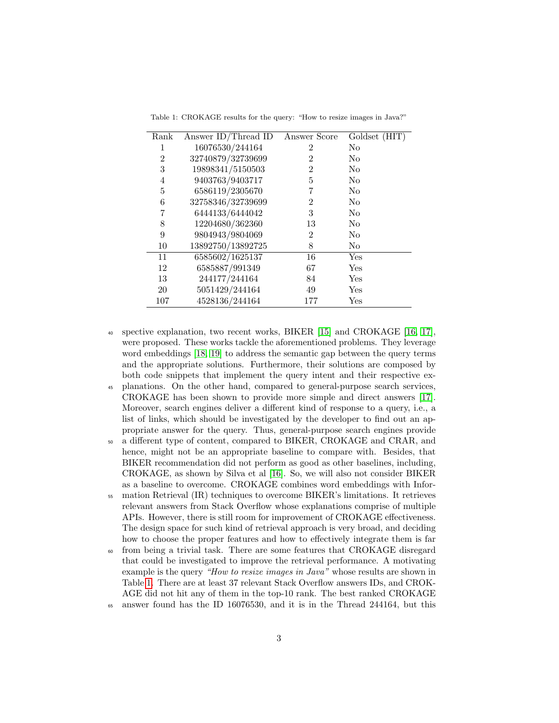<span id="page-2-0"></span>Table 1: CROKAGE results for the query: "How to resize images in Java?"

| Rank | Answer ID/Thread ID | Answer Score   | Goldset (HIT)  |
|------|---------------------|----------------|----------------|
| 1    | 16076530/244164     | 2              | No             |
| 2    | 32740879/32739699   | $\overline{2}$ | $\rm No$       |
| 3    | 19898341/5150503    | 2              | $\rm No$       |
| 4    | 9403763/9403717     | 5              | N <sub>o</sub> |
| 5    | 6586119/2305670     | 7              | No             |
| 6    | 32758346/32739699   | $\overline{2}$ | $\rm No$       |
| 7    | 6444133/6444042     | 3              | No             |
| 8    | 12204680/362360     | 13             | No             |
| 9    | 9804943/9804069     | $\overline{2}$ | $\rm No$       |
| 10   | 13892750/13892725   | 8              | $\rm No$       |
| 11   | 6585602/1625137     | 16             | Yes            |
| 12   | 6585887/991349      | 67             | Yes            |
| 13   | 244177/244164       | 84             | Yes            |
| 20   | 5051429/244164      | 49             | Yes            |
| 107  | 4528136/244164      | 177            | Yes            |

- <sup>40</sup> spective explanation, two recent works, BIKER [\[15\]](#page-27-9) and CROKAGE [\[16,](#page-27-10) [17\]](#page-27-11), were proposed. These works tackle the aforementioned problems. They leverage word embeddings [\[18,](#page-27-12) [19\]](#page-28-0) to address the semantic gap between the query terms and the appropriate solutions. Furthermore, their solutions are composed by both code snippets that implement the query intent and their respective ex-
- <sup>45</sup> planations. On the other hand, compared to general-purpose search services, CROKAGE has been shown to provide more simple and direct answers [\[17\]](#page-27-11). Moreover, search engines deliver a different kind of response to a query, i.e., a list of links, which should be investigated by the developer to find out an appropriate answer for the query. Thus, general-purpose search engines provide
- <sup>50</sup> a different type of content, compared to BIKER, CROKAGE and CRAR, and hence, might not be an appropriate baseline to compare with. Besides, that BIKER recommendation did not perform as good as other baselines, including, CROKAGE, as shown by Silva et al [\[16\]](#page-27-10). So, we will also not consider BIKER as a baseline to overcome. CROKAGE combines word embeddings with Infor-
- <sup>55</sup> mation Retrieval (IR) techniques to overcome BIKER's limitations. It retrieves relevant answers from Stack Overflow whose explanations comprise of multiple APIs. However, there is still room for improvement of CROKAGE effectiveness. The design space for such kind of retrieval approach is very broad, and deciding how to choose the proper features and how to effectively integrate them is far
- <sup>60</sup> from being a trivial task. There are some features that CROKAGE disregard that could be investigated to improve the retrieval performance. A motivating example is the query "How to resize images in Java" whose results are shown in Table [1.](#page-2-0) There are at least 37 relevant Stack Overflow answers IDs, and CROK-AGE did not hit any of them in the top-10 rank. The best ranked CROKAGE <sup>65</sup> answer found has the ID 16076530, and it is in the Thread 244164, but this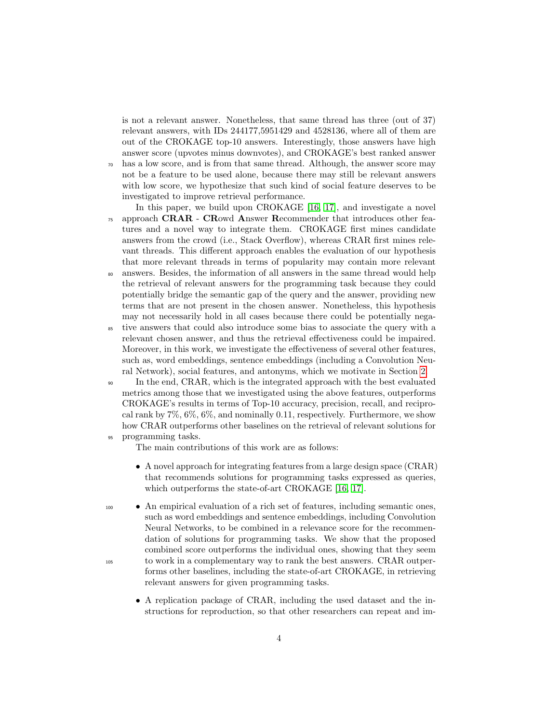is not a relevant answer. Nonetheless, that same thread has three (out of 37) relevant answers, with IDs 244177,5951429 and 4528136, where all of them are out of the CROKAGE top-10 answers. Interestingly, those answers have high answer score (upvotes minus downvotes), and CROKAGE's best ranked answer <sup>70</sup> has a low score, and is from that same thread. Although, the answer score may not be a feature to be used alone, because there may still be relevant answers

- with low score, we hypothesize that such kind of social feature deserves to be investigated to improve retrieval performance.
- In this paper, we build upon CROKAGE [\[16,](#page-27-10) [17\]](#page-27-11), and investigate a novel  $\tau$ <sub>75</sub> approach **CRAR** - **CR**owd **A**nswer **Recommender** that introduces other features and a novel way to integrate them. CROKAGE first mines candidate answers from the crowd (i.e., Stack Overflow), whereas CRAR first mines relevant threads. This different approach enables the evaluation of our hypothesis that more relevant threads in terms of popularity may contain more relevant
- <sup>80</sup> answers. Besides, the information of all answers in the same thread would help the retrieval of relevant answers for the programming task because they could potentially bridge the semantic gap of the query and the answer, providing new terms that are not present in the chosen answer. Nonetheless, this hypothesis may not necessarily hold in all cases because there could be potentially nega-
- <sup>85</sup> tive answers that could also introduce some bias to associate the query with a relevant chosen answer, and thus the retrieval effectiveness could be impaired. Moreover, in this work, we investigate the effectiveness of several other features, such as, word embeddings, sentence embeddings (including a Convolution Neural Network), social features, and antonyms, which we motivate in Section [2.](#page-4-0)
- <sup>90</sup> In the end, CRAR, which is the integrated approach with the best evaluated metrics among those that we investigated using the above features, outperforms CROKAGE's results in terms of Top-10 accuracy, precision, recall, and reciprocal rank by  $7\%, 6\%, 6\%,$  and nominally 0.11, respectively. Furthermore, we show how CRAR outperforms other baselines on the retrieval of relevant solutions for <sup>95</sup> programming tasks.
	- The main contributions of this work are as follows:
	- A novel approach for integrating features from a large design space (CRAR) that recommends solutions for programming tasks expressed as queries, which outperforms the state-of-art CROKAGE [\[16,](#page-27-10) [17\]](#page-27-11).
- <sup>100</sup> An empirical evaluation of a rich set of features, including semantic ones, such as word embeddings and sentence embeddings, including Convolution Neural Networks, to be combined in a relevance score for the recommendation of solutions for programming tasks. We show that the proposed combined score outperforms the individual ones, showing that they seem <sup>105</sup> to work in a complementary way to rank the best answers. CRAR outperforms other baselines, including the state-of-art CROKAGE, in retrieving relevant answers for given programming tasks.
	- A replication package of CRAR, including the used dataset and the instructions for reproduction, so that other researchers can repeat and im-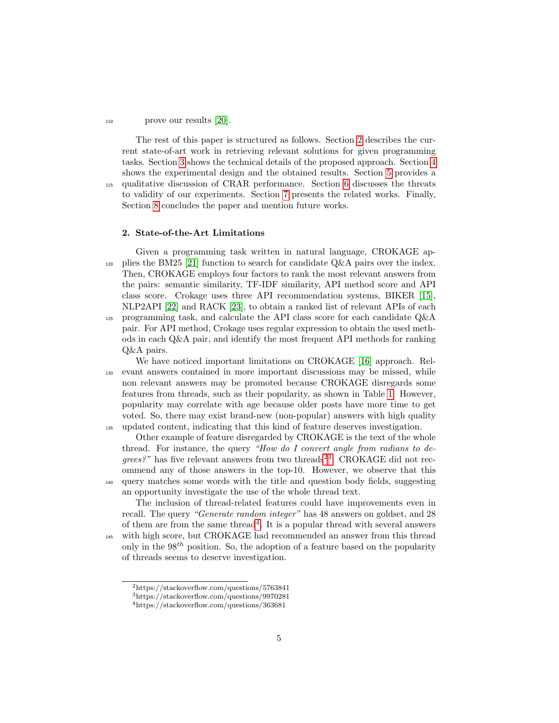# <sup>110</sup> prove our results [\[20\]](#page-28-1).

The rest of this paper is structured as follows. Section [2](#page-4-0) describes the current state-of-art work in retrieving relevant solutions for given programming tasks. Section [3](#page-5-0) shows the technical details of the proposed approach. Section [4](#page-13-0) shows the experimental design and the obtained results. Section [5](#page-23-0) provides a <sup>115</sup> qualitative discussion of CRAR performance. Section [6](#page-24-0) discusses the threats to validity of our experiments. Section [7](#page-25-0) presents the related works. Finally, Section [8](#page-25-1) concludes the paper and mention future works.

## <span id="page-4-0"></span>2. State-of-the-Art Limitations

Given a programming task written in natural language, CROKAGE ap-120 plies the BM25 [\[21\]](#page-28-2) function to search for candidate  $Q\&A$  pairs over the index. Then, CROKAGE employs four factors to rank the most relevant answers from the pairs: semantic similarity, TF-IDF similarity, API method score and API class score. Crokage uses three API recommendation systems, BIKER [\[15\]](#page-27-9), NLP2API [\[22\]](#page-28-3) and RACK [\[23\]](#page-28-4), to obtain a ranked list of relevant APIs of each <sup>125</sup> programming task, and calculate the API class score for each candidate Q&A pair. For API method, Crokage uses regular expression to obtain the used methods in each Q&A pair, and identify the most frequent API methods for ranking Q&A pairs.

We have noticed important limitations on CROKAGE [\[16\]](#page-27-10) approach. Rel-<sup>130</sup> evant answers contained in more important discussions may be missed, while non relevant answers may be promoted because CROKAGE disregards some features from threads, such as their popularity, as shown in Table [1.](#page-2-0) However, popularity may correlate with age because older posts have more time to get voted. So, there may exist brand-new (non-popular) answers with high quality <sup>135</sup> updated content, indicating that this kind of feature deserves investigation.

Other example of feature disregarded by CROKAGE is the text of the whole thread. For instance, the query "How do I convert angle from radians to de $qrees?$ " has five relevant answers from two threads<sup>[2](#page-4-1)[3](#page-4-2)</sup>. CROKAGE did not recommend any of those answers in the top-10. However, we observe that this <sup>140</sup> query matches some words with the title and question body fields, suggesting an opportunity investigate the use of the whole thread text.

The inclusion of thread-related features could have improvements even in recall. The query "Generate random integer" has 48 answers on goldset, and 28 of them are from the same thread<sup>[4](#page-4-3)</sup>. It is a popular thread with several answers <sup>145</sup> with high score, but CROKAGE had recommended an answer from this thread only in the  $98<sup>th</sup>$  position. So, the adoption of a feature based on the popularity of threads seems to deserve investigation.

<span id="page-4-1"></span><sup>2</sup>https://stackoverflow.com/questions/5763841

<span id="page-4-2"></span><sup>3</sup>https://stackoverflow.com/questions/9970281

<span id="page-4-3"></span><sup>4</sup>https://stackoverflow.com/questions/363681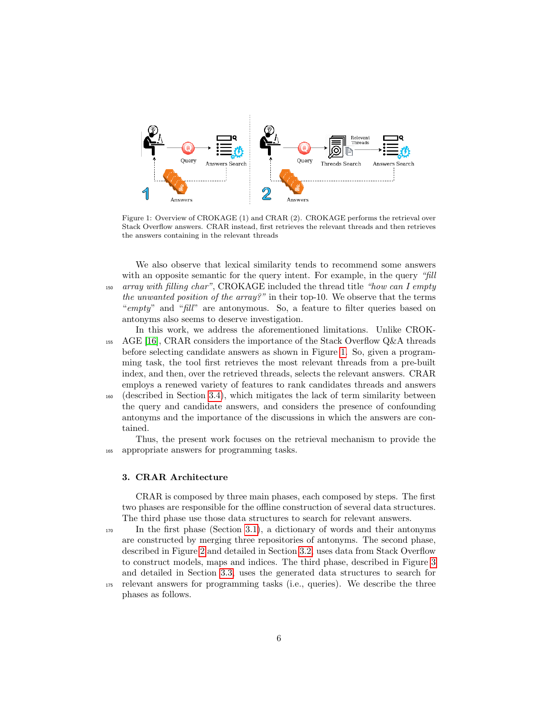<span id="page-5-1"></span>

Figure 1: Overview of CROKAGE (1) and CRAR (2). CROKAGE performs the retrieval over Stack Overflow answers. CRAR instead, first retrieves the relevant threads and then retrieves the answers containing in the relevant threads

We also observe that lexical similarity tends to recommend some answers with an opposite semantic for the query intent. For example, in the query "fill  $150$  array with filling char", CROKAGE included the thread title "how can I empty the unwanted position of the array?" in their top-10. We observe that the terms "empty" and "fill" are antonymous. So, a feature to filter queries based on antonyms also seems to deserve investigation.

In this work, we address the aforementioned limitations. Unlike CROK-<sup>155</sup> AGE [\[16\]](#page-27-10), CRAR considers the importance of the Stack Overflow Q&A threads before selecting candidate answers as shown in Figure [1.](#page-5-1) So, given a programming task, the tool first retrieves the most relevant threads from a pre-built index, and then, over the retrieved threads, selects the relevant answers. CRAR employs a renewed variety of features to rank candidates threads and answers

<sup>160</sup> (described in Section [3.4\)](#page-10-0), which mitigates the lack of term similarity between the query and candidate answers, and considers the presence of confounding antonyms and the importance of the discussions in which the answers are contained.

Thus, the present work focuses on the retrieval mechanism to provide the <sup>165</sup> appropriate answers for programming tasks.

## <span id="page-5-0"></span>3. CRAR Architecture

CRAR is composed by three main phases, each composed by steps. The first two phases are responsible for the offline construction of several data structures. The third phase use those data structures to search for relevant answers.

<sup>170</sup> In the first phase (Section [3.1\)](#page-6-0), a dictionary of words and their antonyms are constructed by merging three repositories of antonyms. The second phase, described in Figure [2](#page-6-1) and detailed in Section [3.2,](#page-6-2) uses data from Stack Overflow to construct models, maps and indices. The third phase, described in Figure [3](#page-9-0) and detailed in Section [3.3,](#page-9-1) uses the generated data structures to search for

<sup>175</sup> relevant answers for programming tasks (i.e., queries). We describe the three phases as follows.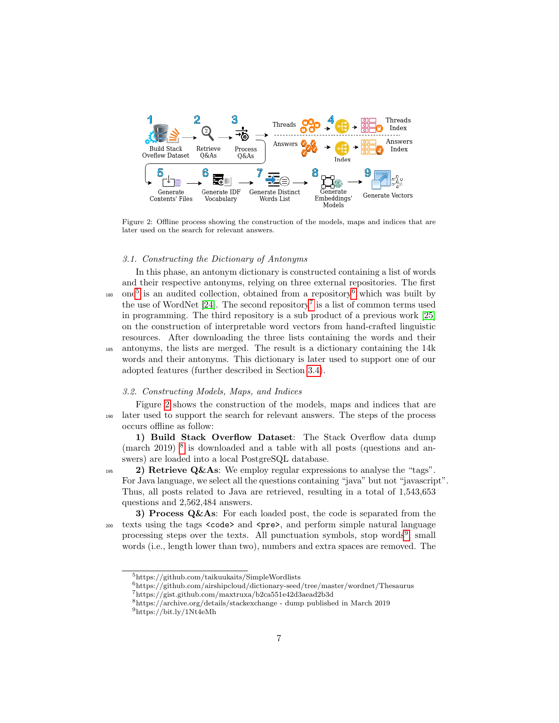<span id="page-6-1"></span>

Figure 2: Offline process showing the construction of the models, maps and indices that are later used on the search for relevant answers.

#### <span id="page-6-0"></span>3.1. Constructing the Dictionary of Antonyms

In this phase, an antonym dictionary is constructed containing a list of words and their respective antonyms, relying on three external repositories. The first <sup>180</sup> one<sup>[5](#page-6-3)</sup> is an audited collection, obtained from a repository<sup>[6](#page-6-4)</sup> which was built by the use of WordNet  $[24]$ . The second repository<sup>[7](#page-6-5)</sup> is a list of common terms used in programming. The third repository is a sub product of a previous work [\[25\]](#page-28-6) on the construction of interpretable word vectors from hand-crafted linguistic resources. After downloading the three lists containing the words and their <sup>185</sup> antonyms, the lists are merged. The result is a dictionary containing the 14k words and their antonyms. This dictionary is later used to support one of our adopted features (further described in Section [3.4\)](#page-10-0).

# <span id="page-6-2"></span>3.2. Constructing Models, Maps, and Indices

Figure [2](#page-6-1) shows the construction of the models, maps and indices that are <sup>190</sup> later used to support the search for relevant answers. The steps of the process occurs offline as follow:

1) Build Stack Overflow Dataset: The Stack Overflow data dump (march 2019) <sup>[8](#page-6-6)</sup> is downloaded and a table with all posts (questions and answers) are loaded into a local PostgreSQL database.

195 2) Retrieve Q&As: We employ regular expressions to analyse the "tags". For Java language, we select all the questions containing "java" but not "javascript". Thus, all posts related to Java are retrieved, resulting in a total of 1,543,653 questions and 2,562,484 answers.

3) Process  $Q\&As$ : For each loaded post, the code is separated from the 200 texts using the tags  $<$ code> and  $<$ pre>, and perform simple natural language processing steps over the texts. All punctuation symbols, stop words<sup>[9](#page-6-7)</sup>, small words (i.e., length lower than two), numbers and extra spaces are removed. The

<span id="page-6-3"></span><sup>5</sup>https://github.com/taikuukaits/SimpleWordlists

<span id="page-6-4"></span> $^6$ https://github.com/airshipcloud/dictionary-seed/tree/master/wordnet/Thesaurus

<span id="page-6-5"></span> $7\,\mathrm{https://gist.github.com/maxtruxa/b2ca551e42d3aead2b3d}$ 

<span id="page-6-6"></span><sup>8</sup>https://archive.org/details/stackexchange - dump published in March 2019

<span id="page-6-7"></span><sup>9</sup>https://bit.ly/1Nt4eMh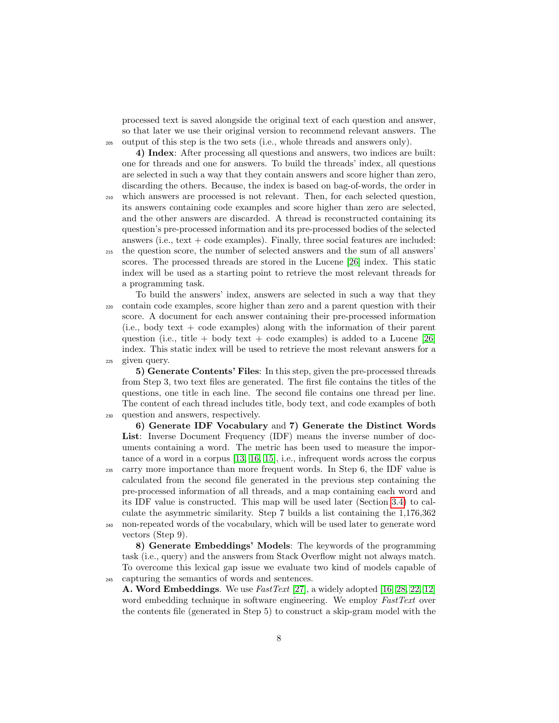processed text is saved alongside the original text of each question and answer, so that later we use their original version to recommend relevant answers. The <sup>205</sup> output of this step is the two sets (i.e., whole threads and answers only).

4) Index: After processing all questions and answers, two indices are built: one for threads and one for answers. To build the threads' index, all questions are selected in such a way that they contain answers and score higher than zero, discarding the others. Because, the index is based on bag-of-words, the order in <sup>210</sup> which answers are processed is not relevant. Then, for each selected question,

its answers containing code examples and score higher than zero are selected, and the other answers are discarded. A thread is reconstructed containing its question's pre-processed information and its pre-processed bodies of the selected answers (i.e.,  $text + code examples$ ). Finally, three social features are included: <sup>215</sup> the question score, the number of selected answers and the sum of all answers' scores. The processed threads are stored in the Lucene [\[26\]](#page-28-7) index. This static

index will be used as a starting point to retrieve the most relevant threads for

- a programming task. To build the answers' index, answers are selected in such a way that they <sup>220</sup> contain code examples, score higher than zero and a parent question with their score. A document for each answer containing their pre-processed information  $(i.e., body text + code examples) along with the information of their parent$ question (i.e., title + body text + code examples) is added to a Lucene [\[26\]](#page-28-7) index. This static index will be used to retrieve the most relevant answers for a
- <sup>225</sup> given query.

5) Generate Contents' Files: In this step, given the pre-processed threads from Step 3, two text files are generated. The first file contains the titles of the questions, one title in each line. The second file contains one thread per line. The content of each thread includes title, body text, and code examples of both <sup>230</sup> question and answers, respectively.

6) Generate IDF Vocabulary and 7) Generate the Distinct Words List: Inverse Document Frequency (IDF) means the inverse number of documents containing a word. The metric has been used to measure the importance of a word in a corpus [\[13,](#page-27-7) [16,](#page-27-10) [15\]](#page-27-9), i.e., infrequent words across the corpus <sup>235</sup> carry more importance than more frequent words. In Step 6, the IDF value is calculated from the second file generated in the previous step containing the pre-processed information of all threads, and a map containing each word and its IDF value is constructed. This map will be used later (Section [3.4\)](#page-10-0) to calculate the asymmetric similarity. Step 7 builds a list containing the 1,176,362 <sup>240</sup> non-repeated words of the vocabulary, which will be used later to generate word vectors (Step 9).

8) Generate Embeddings' Models: The keywords of the programming task (i.e., query) and the answers from Stack Overflow might not always match. To overcome this lexical gap issue we evaluate two kind of models capable of <sup>245</sup> capturing the semantics of words and sentences.

A. Word Embeddings. We use *FastText* [\[27\]](#page-28-8), a widely adopted [\[16,](#page-27-10) [28,](#page-28-9) [22,](#page-28-3) [12\]](#page-27-6) word embedding technique in software engineering. We employ FastText over the contents file (generated in Step 5) to construct a skip-gram model with the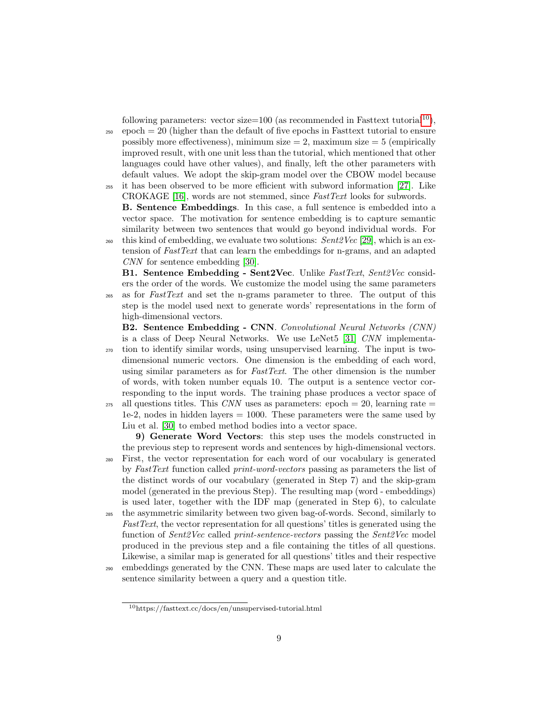following parameters: vector size=[10](#page-8-0)0 (as recommended in Fasttext tutorial<sup>10</sup>),

<sup>250</sup> epoch = 20 (higher than the default of five epochs in Fasttext tutorial to ensure possibly more effectiveness), minimum size  $= 2$ , maximum size  $= 5$  (empirically improved result, with one unit less than the tutorial, which mentioned that other languages could have other values), and finally, left the other parameters with default values. We adopt the skip-gram model over the CBOW model because <sup>255</sup> it has been observed to be more efficient with subword information [\[27\]](#page-28-8). Like

CROKAGE [\[16\]](#page-27-10), words are not stemmed, since FastText looks for subwords. B. Sentence Embeddings. In this case, a full sentence is embedded into a vector space. The motivation for sentence embedding is to capture semantic similarity between two sentences that would go beyond individual words. For

<sup>260</sup> this kind of embedding, we evaluate two solutions:  $Sent2Vec$  [\[29\]](#page-28-10), which is an extension of FastText that can learn the embeddings for n-grams, and an adapted CNN for sentence embedding [\[30\]](#page-28-11).

B1. Sentence Embedding - Sent2Vec. Unlike FastText, Sent2Vec considers the order of the words. We customize the model using the same parameters <sup>265</sup> as for FastText and set the n-grams parameter to three. The output of this step is the model used next to generate words' representations in the form of high-dimensional vectors.

B2. Sentence Embedding - CNN. Convolutional Neural Networks (CNN) is a class of Deep Neural Networks. We use LeNet5 [\[31\]](#page-28-12) CNN implementa-

- <sup>270</sup> tion to identify similar words, using unsupervised learning. The input is twodimensional numeric vectors. One dimension is the embedding of each word, using similar parameters as for *FastText*. The other dimension is the number of words, with token number equals 10. The output is a sentence vector corresponding to the input words. The training phase produces a vector space of
- $_{275}$  all questions titles. This CNN uses as parameters: epoch = 20, learning rate = 1e-2, nodes in hidden layers  $= 1000$ . These parameters were the same used by Liu et al. [\[30\]](#page-28-11) to embed method bodies into a vector space.

9) Generate Word Vectors: this step uses the models constructed in the previous step to represent words and sentences by high-dimensional vectors. <sup>280</sup> First, the vector representation for each word of our vocabulary is generated by FastText function called print-word-vectors passing as parameters the list of the distinct words of our vocabulary (generated in Step 7) and the skip-gram model (generated in the previous Step). The resulting map (word - embeddings) is used later, together with the IDF map (generated in Step 6), to calculate

- <sup>285</sup> the asymmetric similarity between two given bag-of-words. Second, similarly to FastText, the vector representation for all questions' titles is generated using the function of *Sent2Vec* called *print-sentence-vectors* passing the *Sent2Vec* model produced in the previous step and a file containing the titles of all questions. Likewise, a similar map is generated for all questions' titles and their respective
- <sup>290</sup> embeddings generated by the CNN. These maps are used later to calculate the sentence similarity between a query and a question title.

<span id="page-8-0"></span><sup>10</sup>https://fasttext.cc/docs/en/unsupervised-tutorial.html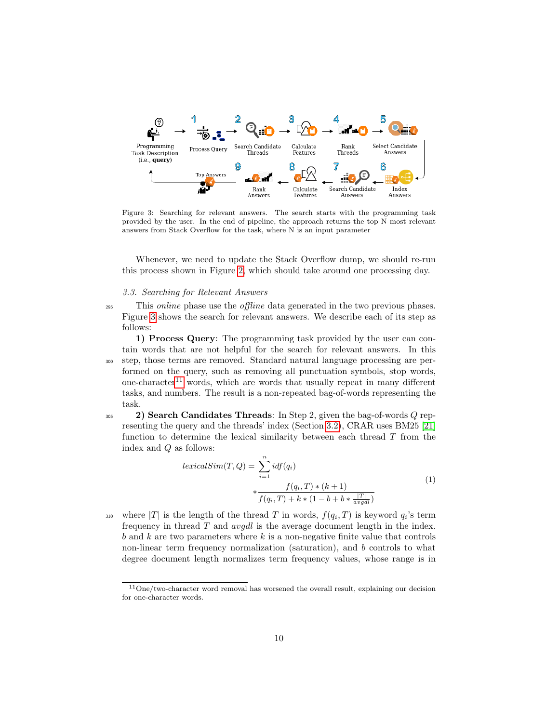<span id="page-9-0"></span>

Figure 3: Searching for relevant answers. The search starts with the programming task provided by the user. In the end of pipeline, the approach returns the top N most relevant answers from Stack Overflow for the task, where N is an input parameter

Whenever, we need to update the Stack Overflow dump, we should re-run this process shown in Figure [2,](#page-6-1) which should take around one processing day.

## <span id="page-9-1"></span>3.3. Searching for Relevant Answers

<sup>295</sup> This *online* phase use the *offline* data generated in the two previous phases. Figure [3](#page-9-0) shows the search for relevant answers. We describe each of its step as follows:

1) Process Query: The programming task provided by the user can contain words that are not helpful for the search for relevant answers. In this <sup>300</sup> step, those terms are removed. Standard natural language processing are performed on the query, such as removing all punctuation symbols, stop words, one-character<sup>[11](#page-9-2)</sup> words, which are words that usually repeat in many different tasks, and numbers. The result is a non-repeated bag-of-words representing the task.

<span id="page-9-3"></span> $2)$  Search Candidates Threads: In Step 2, given the bag-of-words Q representing the query and the threads' index (Section [3.2\)](#page-6-2), CRAR uses BM25 [\[21\]](#page-28-2) function to determine the lexical similarity between each thread  $T$  from the index and Q as follows:

$$
lexicalSim(T, Q) = \sum_{i=1}^{n} idf(q_i)
$$
  
 
$$
* \frac{f(q_i, T) * (k+1)}{f(q_i, T) + k * (1 - b + b * \frac{|T|}{avgdl})}
$$
  
(1)

310 where |T| is the length of the thread T in words,  $f(q_i, T)$  is keyword  $q_i$ 's term frequency in thread  $T$  and  $avgdl$  is the average document length in the index.  $b$  and  $k$  are two parameters where  $k$  is a non-negative finite value that controls non-linear term frequency normalization (saturation), and b controls to what degree document length normalizes term frequency values, whose range is in

<span id="page-9-2"></span><sup>11</sup>One/two-character word removal has worsened the overall result, explaining our decision for one-character words.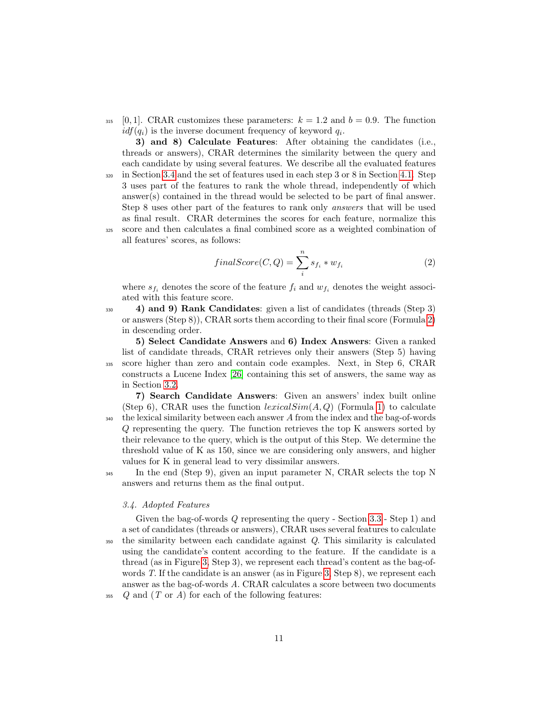315 [0, 1]. CRAR customizes these parameters:  $k = 1.2$  and  $b = 0.9$ . The function  $idf(q_i)$  is the inverse document frequency of keyword  $q_i$ .

3) and 8) Calculate Features: After obtaining the candidates (i.e., threads or answers), CRAR determines the similarity between the query and each candidate by using several features. We describe all the evaluated features  $320$  in Section [3.4](#page-10-0) and the set of features used in each step 3 or 8 in Section [4.1.](#page-14-0) Step 3 uses part of the features to rank the whole thread, independently of which answer(s) contained in the thread would be selected to be part of final answer. Step 8 uses other part of the features to rank only answers that will be used as final result. CRAR determines the scores for each feature, normalize this <sup>325</sup> score and then calculates a final combined score as a weighted combination of all features' scores, as follows:

$$
finalScore(C,Q) = \sum_{i}^{n} s_{f_i} * w_{f_i}
$$
\n<sup>(2)</sup>

<span id="page-10-1"></span>where  $s_{f_i}$  denotes the score of the feature  $f_i$  and  $w_{f_i}$  denotes the weight associated with this feature score.

<sup>330</sup> 4) and 9) Rank Candidates: given a list of candidates (threads (Step 3) or answers (Step 8)), CRAR sorts them according to their final score (Formula [2\)](#page-10-1) in descending order.

5) Select Candidate Answers and 6) Index Answers: Given a ranked list of candidate threads, CRAR retrieves only their answers (Step 5) having <sup>335</sup> score higher than zero and contain code examples. Next, in Step 6, CRAR constructs a Lucene Index [\[26\]](#page-28-7) containing this set of answers, the same way as in Section [3.2.](#page-6-2)

7) Search Candidate Answers: Given an answers' index built online (Step 6), CRAR uses the function  $lexicalSim(A, Q)$  (Formula [1\)](#page-9-3) to calculate  $_{340}$  the lexical similarity between each answer A from the index and the bag-of-words Q representing the query. The function retrieves the top K answers sorted by their relevance to the query, which is the output of this Step. We determine the threshold value of K as 150, since we are considering only answers, and higher values for K in general lead to very dissimilar answers.

<sup>345</sup> In the end (Step 9), given an input parameter N, CRAR selects the top N answers and returns them as the final output.

## <span id="page-10-0"></span>3.4. Adopted Features

Given the bag-of-words Q representing the query - Section [3.3](#page-9-1) - Step 1) and a set of candidates (threads or answers), CRAR uses several features to calculate <sup>350</sup> the similarity between each candidate against Q. This similarity is calculated using the candidate's content according to the feature. If the candidate is a thread (as in Figure [3,](#page-9-0) Step 3), we represent each thread's content as the bag-ofwords T. If the candidate is an answer (as in Figure [3,](#page-9-0) Step 8), we represent each answer as the bag-of-words A. CRAR calculates a score between two documents  $_{355}$  Q and  $(T \text{ or } A)$  for each of the following features: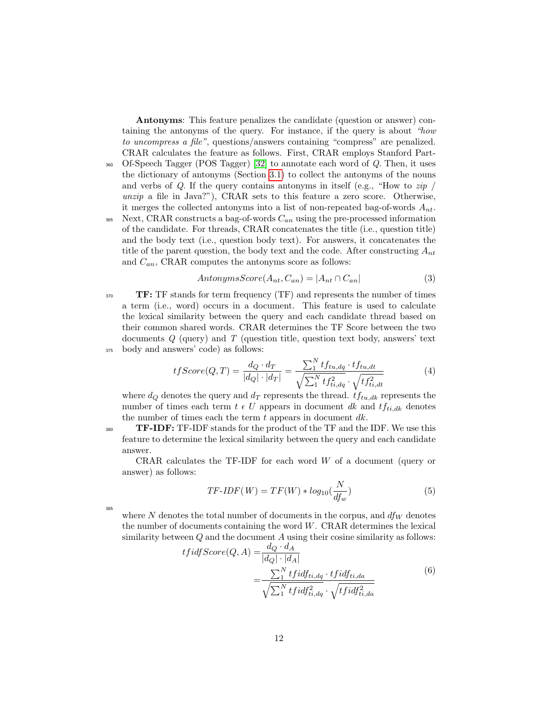Antonyms: This feature penalizes the candidate (question or answer) containing the antonyms of the query. For instance, if the query is about "how to uncompress a file", questions/answers containing "compress" are penalized. CRAR calculates the feature as follows. First, CRAR employs Stanford Part-<sup>360</sup> Of-Speech Tagger (POS Tagger) [\[32\]](#page-28-13) to annotate each word of Q. Then, it uses the dictionary of antonyms (Section [3.1\)](#page-6-0) to collect the antonyms of the nouns and verbs of  $Q$ . If the query contains antonyms in itself (e.g., "How to  $zip /$ unzip a file in Java?"), CRAR sets to this feature a zero score. Otherwise, it merges the collected antonyms into a list of non-repeated bag-of-words  $A_{nt}$ . <sup>365</sup> Next, CRAR constructs a bag-of-words  $C_{an}$  using the pre-processed information of the candidate. For threads, CRAR concatenates the title (i.e., question title) and the body text (i.e., question body text). For answers, it concatenates the title of the parent question, the body text and the code. After constructing  $A_{nt}$ and  $C_{an}$ , CRAR computes the antonyms score as follows:

$$
AntonymsScore(A_{nt}, C_{an}) = |A_{nt} \cap C_{an}|
$$
\n(3)

<span id="page-11-0"></span> $$ a term (i.e., word) occurs in a document. This feature is used to calculate the lexical similarity between the query and each candidate thread based on their common shared words. CRAR determines the TF Score between the two documents Q (query) and T (question title, question text body, answers' text <sup>375</sup> body and answers' code) as follows:

$$
tfScore(Q,T) = \frac{d_Q \cdot d_T}{|d_Q| \cdot |d_T|} = \frac{\sum_{1}^{N} tf_{tu,dq} \cdot tf_{tu,dt}}{\sqrt{\sum_{1}^{N} tf_{ti,dq}^{2} \cdot \sqrt{tf_{ti,dt}^{2}}}}
$$
(4)

where  $d_Q$  denotes the query and  $d_T$  represents the thread.  $tf_{tu,dk}$  represents the number of times each term  $t \in U$  appears in document dk and  $tf_{ti,dk}$  denotes the number of times each the term  $t$  appears in document  $dk$ .

 $\mathbf{T} = \mathbf{TF} - \mathbf{IDF}$ : TF-IDF stands for the product of the TF and the IDF. We use this feature to determine the lexical similarity between the query and each candidate answer.

CRAR calculates the  $TF-IDF$  for each word  $W$  of a document (query or answer) as follows:

$$
TF\text{-}IDF(W) = TF(W) * log_{10}(\frac{N}{df_w})
$$
\n<sup>(5)</sup>

385

where N denotes the total number of documents in the corpus, and  $df_W$  denotes the number of documents containing the word  $W$ . CRAR determines the lexical similarity between  $Q$  and the document  $A$  using their cosine similarity as follows:

$$
tfidfScore(Q, A) = \frac{d_Q \cdot d_A}{|d_Q| \cdot |d_A|}
$$
  
= 
$$
\frac{\sum_{1}^{N} tfidf_{ti, dq} \cdot tfidf_{ti, da}}{\sqrt{\sum_{1}^{N} tfidf_{ti, dq}^{2} \cdot \sqrt{tfidf_{ti, da}^{2}}}}
$$
 (6)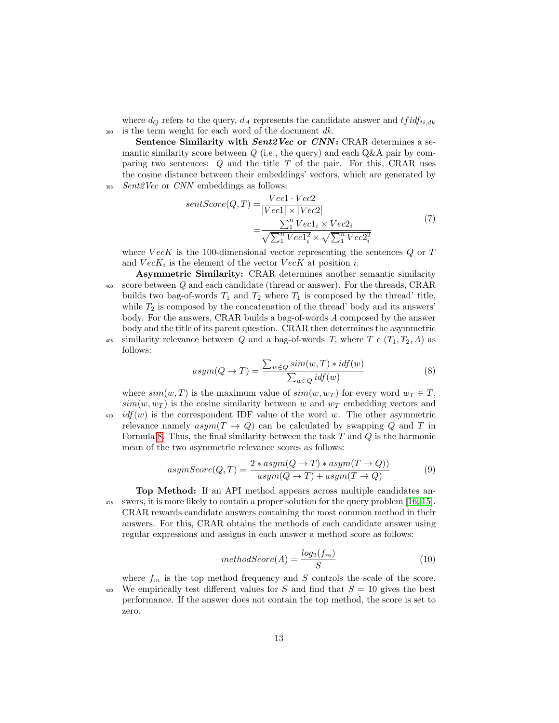where  $d_Q$  refers to the query,  $d_A$  represents the candidate answer and  $tfidf_{ti,dk}$  $390$  is the term weight for each word of the document dk.

Sentence Similarity with *Sent2Vec* or *CNN*: CRAR determines a semantic similarity score between  $Q$  (i.e., the query) and each  $Q\&A$  pair by comparing two sentences:  $Q$  and the title  $T$  of the pair. For this, CRAR uses the cosine distance between their embeddings' vectors, which are generated by  $395$  Sent $2Vec$  or CNN embeddings as follows:

$$
sentScore(Q, T) = \frac{Vec1 \cdot Vec2}{|Vec1| \times |Vec2|} = \frac{\sum_{1}^{n} Vec1_{i} \times Vec2_{i}}{\sqrt{\sum_{1}^{n} Vec1_{i}^{2}} \times \sqrt{\sum_{1}^{n} Vec2_{i}^{2}}}
$$
(7)

where  $VecK$  is the 100-dimensional vector representing the sentences  $Q$  or  $T$ and  $VecK_i$  is the element of the vector  $VecK$  at position *i*.

Asymmetric Similarity: CRAR determines another semantic similarity <sup>400</sup> score between Q and each candidate (thread or answer). For the threads, CRAR builds two bag-of-words  $T_1$  and  $T_2$  where  $T_1$  is composed by the thread' title, while  $T_2$  is composed by the concatenation of the thread' body and its answers' body. For the answers, CRAR builds a bag-of-words A composed by the answer body and the title of its parent question. CRAR then determines the asymmetric 405 similarity relevance between Q and a bag-of-words T, where  $T \in (T_1, T_2, A)$  as follows:

$$
asym(Q \to T) = \frac{\sum_{w \in Q} sim(w, T) * idf(w)}{\sum_{w \in Q} idf(w)}
$$
\n
$$
(8)
$$

<span id="page-12-0"></span>where  $sim(w, T)$  is the maximum value of  $sim(w, w_T)$  for every word  $w_T \in T$ .  $sim(w, w_T)$  is the cosine similarity between w and  $w_T$  embedding vectors and  $\text{410}$  idf(w) is the correspondent IDF value of the word w. The other asymmetric relevance namely  $asym(T \rightarrow Q)$  can be calculated by swapping Q and T in Formula [8.](#page-12-0) Thus, the final similarity between the task  $T$  and  $Q$  is the harmonic mean of the two asymmetric relevance scores as follows:

$$
asymScore(Q, T) = \frac{2 * asym(Q \to T) * asym(T \to Q))}{asym(Q \to T) + asym(T \to Q)}
$$
(9)

Top Method: If an API method appears across multiple candidates an-<sup>415</sup> swers, it is more likely to contain a proper solution for the query problem [\[16,](#page-27-10) [15\]](#page-27-9). CRAR rewards candidate answers containing the most common method in their answers. For this, CRAR obtains the methods of each candidate answer using regular expressions and assigns in each answer a method score as follows:

$$
methodScore(A) = \frac{log_2(f_m)}{S}
$$
\n<sup>(10)</sup>

where  $f_m$  is the top method frequency and S controls the scale of the score. <sup>420</sup> We empirically test different values for S and find that  $S = 10$  gives the best performance. If the answer does not contain the top method, the score is set to zero.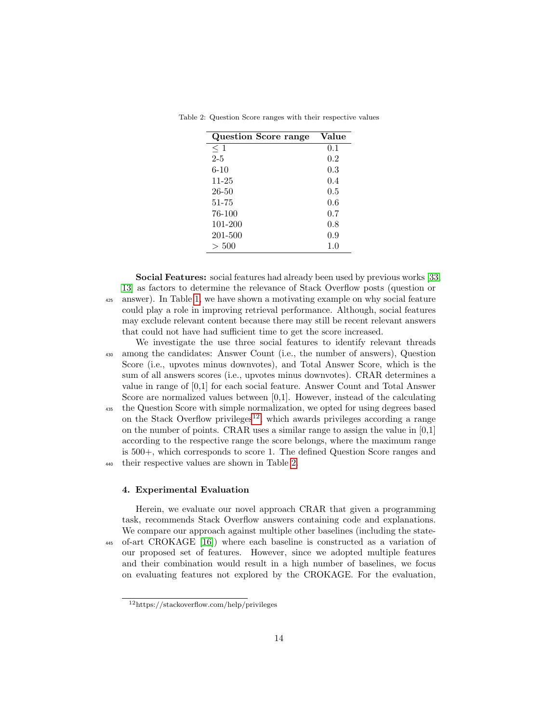| <b>Question Score range</b> | Value |
|-----------------------------|-------|
| $\leq 1$                    | 0.1   |
| $2 - 5$                     | 0.2   |
| $6 - 10$                    | 0.3   |
| $11 - 25$                   | 0.4   |
| 26-50                       | 0.5   |
| 51-75                       | 0.6   |
| 76-100                      | 0.7   |
| 101-200                     | 0.8   |
| 201-500                     | 0.9   |
| > 500                       | 1.0   |

<span id="page-13-2"></span>Table 2: Question Score ranges with their respective values

Social Features: social features had already been used by previous works [\[33,](#page-29-0) [13\]](#page-27-7) as factors to determine the relevance of Stack Overflow posts (question or <sup>425</sup> answer). In Table [1,](#page-2-0) we have shown a motivating example on why social feature could play a role in improving retrieval performance. Although, social features may exclude relevant content because there may still be recent relevant answers that could not have had sufficient time to get the score increased.

We investigate the use three social features to identify relevant threads <sup>430</sup> among the candidates: Answer Count (i.e., the number of answers), Question Score (i.e., upvotes minus downvotes), and Total Answer Score, which is the sum of all answers scores (i.e., upvotes minus downvotes). CRAR determines a value in range of [0,1] for each social feature. Answer Count and Total Answer Score are normalized values between [0,1]. However, instead of the calculating

<sup>435</sup> the Question Score with simple normalization, we opted for using degrees based on the Stack Overflow privileges<sup>[12](#page-13-1)</sup>, which awards privileges according a range on the number of points. CRAR uses a similar range to assign the value in [0,1] according to the respective range the score belongs, where the maximum range is 500+, which corresponds to score 1. The defined Question Score ranges and <sup>440</sup> their respective values are shown in Table [2.](#page-13-2)

#### <span id="page-13-0"></span>4. Experimental Evaluation

Herein, we evaluate our novel approach CRAR that given a programming task, recommends Stack Overflow answers containing code and explanations. We compare our approach against multiple other baselines (including the state-<sup>445</sup> of-art CROKAGE [\[16\]](#page-27-10)) where each baseline is constructed as a variation of our proposed set of features. However, since we adopted multiple features and their combination would result in a high number of baselines, we focus on evaluating features not explored by the CROKAGE. For the evaluation,

<span id="page-13-1"></span><sup>12</sup>https://stackoverflow.com/help/privileges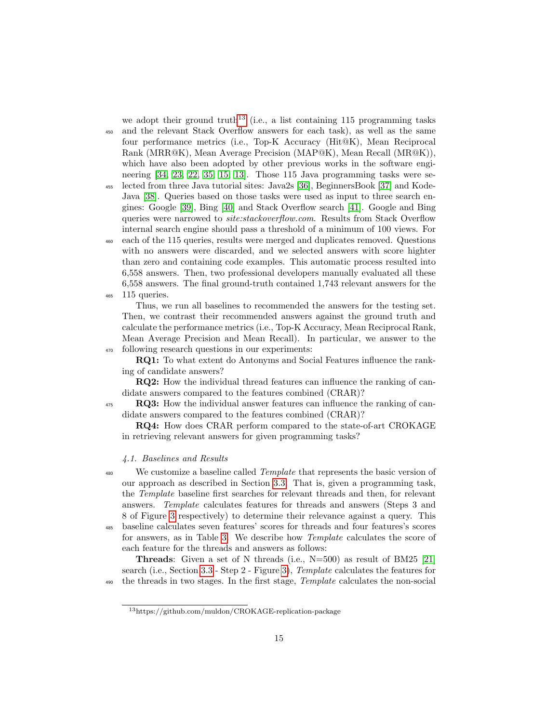we adopt their ground truth<sup>[13](#page-14-1)</sup> (i.e., a list containing 115 programming tasks

<sup>450</sup> and the relevant Stack Overflow answers for each task), as well as the same four performance metrics (i.e., Top-K Accuracy (Hit@K), Mean Reciprocal Rank (MRR@K), Mean Average Precision (MAP@K), Mean Recall (MR@K)), which have also been adopted by other previous works in the software engineering [\[34,](#page-29-1) [23,](#page-28-4) [22,](#page-28-3) [35,](#page-29-2) [15,](#page-27-9) [13\]](#page-27-7). Those 115 Java programming tasks were se-<sup>455</sup> lected from three Java tutorial sites: Java2s [\[36\]](#page-29-3), BeginnersBook [\[37\]](#page-29-4) and Kode-

Java [\[38\]](#page-29-5). Queries based on those tasks were used as input to three search engines: Google [\[39\]](#page-29-6), Bing [\[40\]](#page-29-7) and Stack Overflow search [\[41\]](#page-29-8). Google and Bing queries were narrowed to site:stackoverflow.com. Results from Stack Overflow internal search engine should pass a threshold of a minimum of 100 views. For

<sup>460</sup> each of the 115 queries, results were merged and duplicates removed. Questions with no answers were discarded, and we selected answers with score highter than zero and containing code examples. This automatic process resulted into 6,558 answers. Then, two professional developers manually evaluated all these 6,558 answers. The final ground-truth contained 1,743 relevant answers for the <sup>465</sup> 115 queries.

Thus, we run all baselines to recommended the answers for the testing set. Then, we contrast their recommended answers against the ground truth and calculate the performance metrics (i.e., Top-K Accuracy, Mean Reciprocal Rank, Mean Average Precision and Mean Recall). In particular, we answer to the <sup>470</sup> following research questions in our experiments:

RQ1: To what extent do Antonyms and Social Features influence the ranking of candidate answers?

RQ2: How the individual thread features can influence the ranking of candidate answers compared to the features combined (CRAR)?

<sup>475</sup> RQ3: How the individual answer features can influence the ranking of candidate answers compared to the features combined (CRAR)?

RQ4: How does CRAR perform compared to the state-of-art CROKAGE in retrieving relevant answers for given programming tasks?

# <span id="page-14-0"></span>4.1. Baselines and Results

<sup>480</sup> We customize a baseline called *Template* that represents the basic version of our approach as described in Section [3.3.](#page-9-1) That is, given a programming task, the Template baseline first searches for relevant threads and then, for relevant answers. Template calculates features for threads and answers (Steps 3 and 8 of Figure [3](#page-9-0) respectively) to determine their relevance against a query. This <sup>485</sup> baseline calculates seven features' scores for threads and four features's scores

for answers, as in Table [3.](#page-15-0) We describe how Template calculates the score of each feature for the threads and answers as follows:

**Threads:** Given a set of N threads (i.e.,  $N=500$ ) as result of BM25 [\[21\]](#page-28-2) search (i.e., Section [3.3](#page-9-1) - Step 2 - Figure [3\)](#page-9-0), Template calculates the features for <sub>490</sub> the threads in two stages. In the first stage, *Template* calculates the non-social

<span id="page-14-1"></span><sup>13</sup>https://github.com/muldon/CROKAGE-replication-package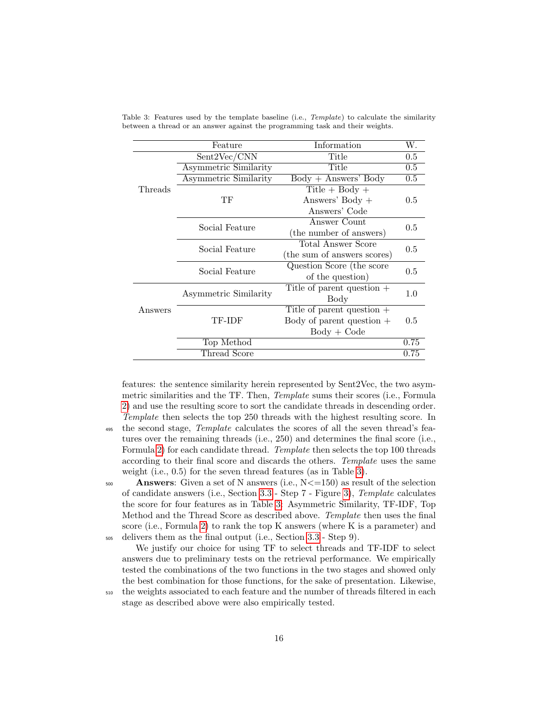|         | Feature                      | Information                  | W.               |  |
|---------|------------------------------|------------------------------|------------------|--|
|         | Sent2Vec/CNN                 | Title                        | $0.5\,$          |  |
|         | <b>Asymmetric Similarity</b> | Title                        | $0.5\,$          |  |
|         | <b>Asymmetric Similarity</b> | $Body + Answers' Body$       | $\overline{0.5}$ |  |
| Threads |                              | Title + Body +               |                  |  |
|         | ТF                           | Answers' Body $+$            | 0.5              |  |
|         |                              | Answers' Code                |                  |  |
|         | Social Feature               | Answer Count                 |                  |  |
|         |                              | (the number of answers)      | 0.5              |  |
|         | Social Feature               | Total Answer Score           | 0.5              |  |
|         |                              | (the sum of answers scores)  |                  |  |
|         | Social Feature               | Question Score (the score    | 0.5              |  |
|         |                              | of the question)             |                  |  |
|         | Asymmetric Similarity        | Title of parent question $+$ | 1.0              |  |
|         |                              | Body                         |                  |  |
| Answers |                              | Title of parent question $+$ |                  |  |
|         | TF-IDF                       | Body of parent question $+$  | 0.5              |  |
|         |                              | $Body + Code$                |                  |  |
|         | Top Method                   |                              | 0.75             |  |
|         | Thread Score                 |                              | 0.75             |  |

<span id="page-15-0"></span>Table 3: Features used by the template baseline (i.e., *Template*) to calculate the similarity between a thread or an answer against the programming task and their weights.

features: the sentence similarity herein represented by Sent2Vec, the two asymmetric similarities and the TF. Then, Template sums their scores (i.e., Formula [2\)](#page-10-1) and use the resulting score to sort the candidate threads in descending order. Template then selects the top 250 threads with the highest resulting score. In <sup>495</sup> the second stage, *Template* calculates the scores of all the seven thread's features over the remaining threads (i.e., 250) and determines the final score (i.e., Formula [2\)](#page-10-1) for each candidate thread. Template then selects the top 100 threads according to their final score and discards the others. Template uses the same weight (i.e., 0.5) for the seven thread features (as in Table [3\)](#page-15-0).

500 **Answers:** Given a set of N answers (i.e.,  $N \le 150$ ) as result of the selection of candidate answers (i.e., Section [3.3](#page-9-1) - Step 7 - Figure [3\)](#page-9-0), Template calculates the score for four features as in Table [3:](#page-15-0) Asymmetric Similarity, TF-IDF, Top Method and the Thread Score as described above. Template then uses the final score (i.e., Formula [2\)](#page-10-1) to rank the top K answers (where K is a parameter) and <sup>505</sup> delivers them as the final output (i.e., Section [3.3](#page-9-1) - Step 9).

We justify our choice for using TF to select threads and TF-IDF to select answers due to preliminary tests on the retrieval performance. We empirically tested the combinations of the two functions in the two stages and showed only the best combination for those functions, for the sake of presentation. Likewise,

<sup>510</sup> the weights associated to each feature and the number of threads filtered in each stage as described above were also empirically tested.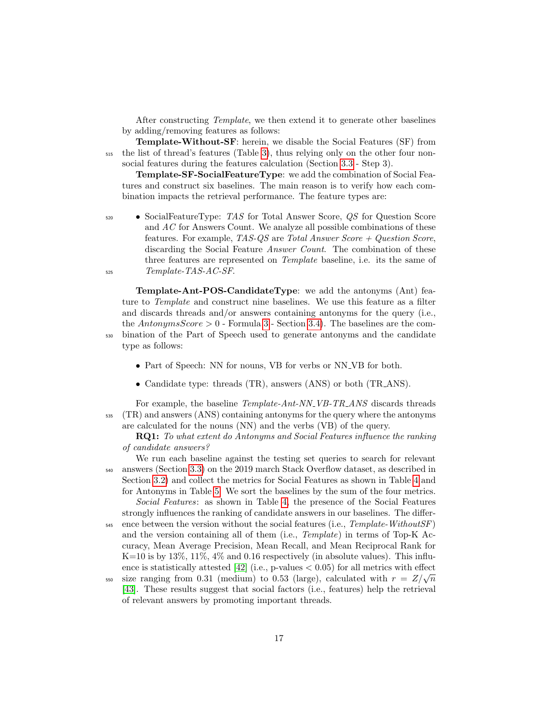After constructing Template, we then extend it to generate other baselines by adding/removing features as follows:

Template-Without-SF: herein, we disable the Social Features (SF) from <sup>515</sup> the list of thread's features (Table [3\)](#page-15-0), thus relying only on the other four nonsocial features during the features calculation (Section [3.3](#page-9-1) - Step 3).

Template-SF-SocialFeatureType: we add the combination of Social Features and construct six baselines. The main reason is to verify how each combination impacts the retrieval performance. The feature types are:

<sup>520</sup> • SocialFeatureType: TAS for Total Answer Score, QS for Question Score and AC for Answers Count. We analyze all possible combinations of these features. For example, TAS-QS are Total Answer Score  $+$  Question Score, discarding the Social Feature *Answer Count*. The combination of these three features are represented on *Template* baseline, i.e. its the same of  $525$  Template-TAS-AC-SF.

Template-Ant-POS-CandidateType: we add the antonyms (Ant) feature to Template and construct nine baselines. We use this feature as a filter and discards threads and/or answers containing antonyms for the query (i.e., the AntonymsScore  $> 0$  - Formula [3](#page-11-0) - Section [3.4\)](#page-10-0). The baselines are the com-<sup>530</sup> bination of the Part of Speech used to generate antonyms and the candidate type as follows:

- Part of Speech: NN for nouns, VB for verbs or NN VB for both.
- Candidate type: threads (TR), answers (ANS) or both (TR ANS).

For example, the baseline *Template-Ant-NN VB-TR ANS* discards threads <sup>535</sup> (TR) and answers (ANS) containing antonyms for the query where the antonyms are calculated for the nouns (NN) and the verbs (VB) of the query.

RQ1: To what extent do Antonyms and Social Features influence the ranking of candidate answers?

We run each baseline against the testing set queries to search for relevant <sup>540</sup> answers (Section [3.3\)](#page-9-1) on the 2019 march Stack Overflow dataset, as described in Section [3.2\)](#page-6-2) and collect the metrics for Social Features as shown in Table [4](#page-17-0) and for Antonyms in Table [5.](#page-17-1) We sort the baselines by the sum of the four metrics. Social Features: as shown in Table [4,](#page-17-0) the presence of the Social Features

strongly influences the ranking of candidate answers in our baselines. The differ- $545$  ence between the version without the social features (i.e.,  $Template-Without SF$ ) and the version containing all of them (i.e., Template) in terms of Top-K Accuracy, Mean Average Precision, Mean Recall, and Mean Reciprocal Rank for  $K=10$  is by 13%, 11%, 4% and 0.16 respectively (in absolute values). This influence is statistically attested  $[42]$  (i.e., p-values  $< 0.05$ ) for all metrics with effect size ranging from 0.31 (medium) to 0.53 (large), calculated with  $r = Z/\sqrt{n}$ 

[\[43\]](#page-29-10). These results suggest that social factors (i.e., features) help the retrieval of relevant answers by promoting important threads.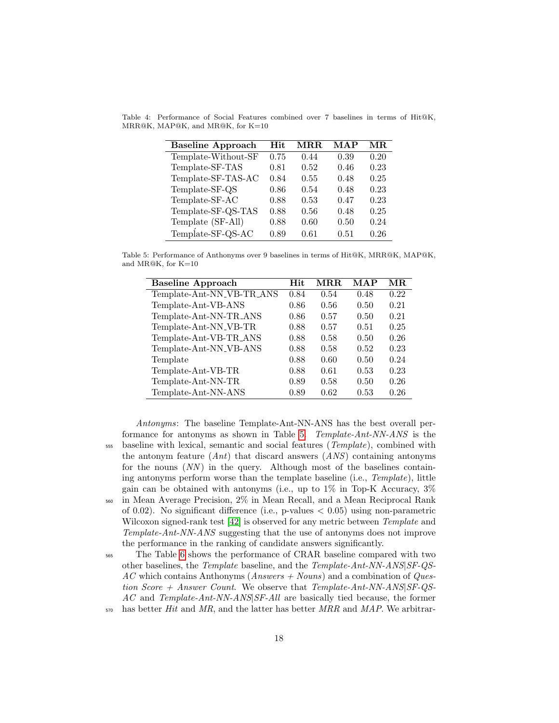<span id="page-17-0"></span>Table 4: Performance of Social Features combined over 7 baselines in terms of Hit@K, MRR@K, MAP@K, and MR@K, for K=10

| <b>Baseline Approach</b> | <b>Hit</b> | $\bf{M} \bf{R} \bf{R}$ | MAP  | MR.  |
|--------------------------|------------|------------------------|------|------|
| Template-Without-SF      | 0.75       | 0.44                   | 0.39 | 0.20 |
| Template-SF-TAS          | 0.81       | 0.52                   | 0.46 | 0.23 |
| Template-SF-TAS-AC       | 0.84       | 0.55                   | 0.48 | 0.25 |
| Template-SF-QS           | 0.86       | 0.54                   | 0.48 | 0.23 |
| Template-SF-AC           | 0.88       | 0.53                   | 0.47 | 0.23 |
| Template-SF-QS-TAS       | 0.88       | 0.56                   | 0.48 | 0.25 |
| Template (SF-All)        | 0.88       | 0.60                   | 0.50 | 0.24 |
| Template-SF-QS-AC        | 0.89       | 0.61                   | 0.51 | 0.26 |

<span id="page-17-1"></span>Table 5: Performance of Anthonyms over 9 baselines in terms of Hit@K, MRR@K, MAP@K, and MR@K, for K=10

| <b>Baseline Approach</b>           | Hit  | MR.R. | MAP  | MR.  |
|------------------------------------|------|-------|------|------|
| Template-Ant-NN_VB-TR_ANS          | 0.84 | 0.54  | 0.48 | 0.22 |
| Template-Ant-VB-ANS                | 0.86 | 0.56  | 0.50 | 0.21 |
| Template-Ant-NN-TR_ANS             | 0.86 | 0.57  | 0.50 | 0.21 |
| Template-Ant-NN_VB-TR              | 0.88 | 0.57  | 0.51 | 0.25 |
| Template-Ant-VB-TR_ANS             | 0.88 | 0.58  | 0.50 | 0.26 |
| Template-Ant-NN <sub>-VB-ANS</sub> | 0.88 | 0.58  | 0.52 | 0.23 |
| Template                           | 0.88 | 0.60  | 0.50 | 0.24 |
| Template-Ant-VB-TR                 | 0.88 | 0.61  | 0.53 | 0.23 |
| Template-Ant-NN-TR                 | 0.89 | 0.58  | 0.50 | 0.26 |
| Template-Ant-NN-ANS                | 0.89 | 0.62  | 0.53 | 0.26 |

Antonyms: The baseline Template-Ant-NN-ANS has the best overall performance for antonyms as shown in Table [5.](#page-17-1) Template-Ant-NN-ANS is the <sup>555</sup> baseline with lexical, semantic and social features (Template), combined with the antonym feature  $(Ant)$  that discard answers  $(ANS)$  containing antonyms for the nouns  $(NN)$  in the query. Although most of the baselines containing antonyms perform worse than the template baseline (i.e., Template), little gain can be obtained with antonyms (i.e., up to  $1\%$  in Top-K Accuracy,  $3\%$ <sup>560</sup> in Mean Average Precision, 2% in Mean Recall, and a Mean Reciprocal Rank of 0.02). No significant difference (i.e., p-values  $< 0.05$ ) using non-parametric Wilcoxon signed-rank test [\[42\]](#page-29-9) is observed for any metric between *Template* and Template-Ant-NN-ANS suggesting that the use of antonyms does not improve the performance in the ranking of candidate answers significantly.

<sup>565</sup> The Table [6](#page-18-0) shows the performance of CRAR baseline compared with two other baselines, the Template baseline, and the Template-Ant-NN-ANS|SF-QS- $AC$  which contains Anthonyms (*Answers + Nouns*) and a combination of *Ques*tion Score + Answer Count. We observe that  $Template-Ant-NN-ANS|SF-QS-$ AC and Template-Ant-NN-ANS SF-All are basically tied because, the former  $570$  has better Hit and MR, and the latter has better MRR and MAP. We arbitrar-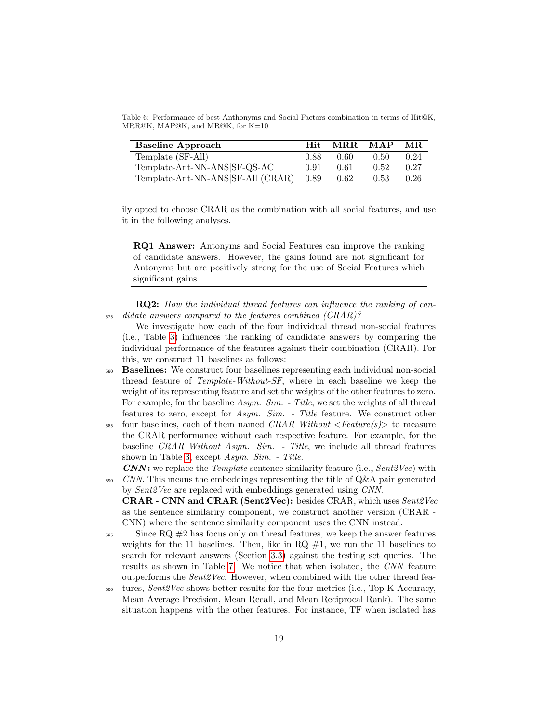<span id="page-18-0"></span>Table 6: Performance of best Anthonyms and Social Factors combination in terms of Hit@K, MRR@K, MAP@K, and MR@K, for K=10

| <b>Baseline Approach</b>          | Hit. | MRR. | MAP  | MR.  |
|-----------------------------------|------|------|------|------|
| Template (SF-All)                 | 0.88 | 0.60 | 0.50 | 0.24 |
| Template-Ant-NN-ANS SF-QS-AC      | 0.91 | 0.61 | 0.52 | 0.27 |
| Template-Ant-NN-ANS SF-All (CRAR) | 0.89 | 0.62 | 0.53 | 0.26 |

ily opted to choose CRAR as the combination with all social features, and use it in the following analyses.

RQ1 Answer: Antonyms and Social Features can improve the ranking of candidate answers. However, the gains found are not significant for Antonyms but are positively strong for the use of Social Features which significant gains.

RQ2: How the individual thread features can influence the ranking of can-<sup>575</sup> didate answers compared to the features combined (CRAR)?

We investigate how each of the four individual thread non-social features (i.e., Table [3\)](#page-15-0) influences the ranking of candidate answers by comparing the individual performance of the features against their combination (CRAR). For this, we construct 11 baselines as follows:

- <sup>580</sup> Baselines: We construct four baselines representing each individual non-social thread feature of Template-Without-SF, where in each baseline we keep the weight of its representing feature and set the weights of the other features to zero. For example, for the baseline Asym. Sim. - Title, we set the weights of all thread features to zero, except for Asym. Sim. - Title feature. We construct other
- $585$  four baselines, each of them named CRAR Without  $\leq$  Feature(s) to measure the CRAR performance without each respective feature. For example, for the baseline CRAR Without Asym. Sim. - Title, we include all thread features shown in Table [3,](#page-15-0) except Asym. Sim. - Title.

 $CNN$ : we replace the *Template* sentence similarity feature (i.e.,  $Sent2Vec$ ) with  $S<sub>990</sub>$  CNN. This means the embeddings representing the title of Q&A pair generated by Sent2Vec are replaced with embeddings generated using CNN.

CRAR - CNN and CRAR (Sent2Vec): besides CRAR, which uses Sent2Vec as the sentence similariry component, we construct another version (CRAR - CNN) where the sentence similarity component uses the CNN instead.

 $\frac{595}{2}$  Since RQ  $\#2$  has focus only on thread features, we keep the answer features weights for the 11 baselines. Then, like in  $RQ \#1$ , we run the 11 baselines to search for relevant answers (Section [3.3\)](#page-9-1) against the testing set queries. The results as shown in Table [7.](#page-19-0) We notice that when isolated, the CNN feature outperforms the Sent2Vec. However, when combined with the other thread fea-

 $\omega$  tures,  $Sent2Vec$  shows better results for the four metrics (i.e., Top-K Accuracy, Mean Average Precision, Mean Recall, and Mean Reciprocal Rank). The same situation happens with the other features. For instance, TF when isolated has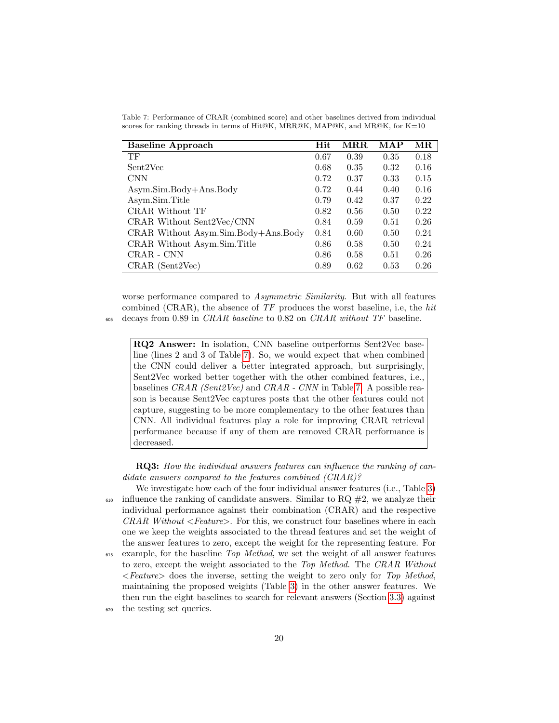| <b>Baseline Approach</b>            | Hit  | $\operatorname{MRR}$ | $\mathbf{MAP}$ | $\operatorname{MR}$ |
|-------------------------------------|------|----------------------|----------------|---------------------|
| TF                                  | 0.67 | 0.39                 | 0.35           | 0.18                |
| Sent2Vec                            | 0.68 | 0.35                 | 0.32           | 0.16                |
| <b>CNN</b>                          | 0.72 | 0.37                 | 0.33           | 0.15                |
| Asym.Sim.Body+Ans.Body              | 0.72 | 0.44                 | 0.40           | 0.16                |
| Asym.Sim.Title                      | 0.79 | 0.42                 | 0.37           | 0.22                |
| CRAR Without TF                     | 0.82 | 0.56                 | 0.50           | 0.22                |
| CRAR Without Sent2Vec/CNN           | 0.84 | 0.59                 | 0.51           | 0.26                |
| CRAR Without Asym.Sim.Body+Ans.Body | 0.84 | 0.60                 | 0.50           | 0.24                |
| CRAR Without Asym.Sim.Title         | 0.86 | 0.58                 | 0.50           | 0.24                |
| CRAR - CNN                          | 0.86 | 0.58                 | 0.51           | 0.26                |
| $CRAR$ (Sent2Vec)                   | 0.89 | 0.62                 | 0.53           | 0.26                |

<span id="page-19-0"></span>Table 7: Performance of CRAR (combined score) and other baselines derived from individual scores for ranking threads in terms of Hit@K, MRR@K, MAP@K, and MR@K, for K=10

worse performance compared to Asymmetric Similarity. But with all features combined (CRAR), the absence of  $TF$  produces the worst baseline, i.e, the hit <sup>605</sup> decays from 0.89 in CRAR baseline to 0.82 on CRAR without TF baseline.

RQ2 Answer: In isolation, CNN baseline outperforms Sent2Vec baseline (lines 2 and 3 of Table [7\)](#page-19-0). So, we would expect that when combined the CNN could deliver a better integrated approach, but surprisingly, Sent2Vec worked better together with the other combined features, i.e., baselines CRAR (Sent2Vec) and CRAR - CNN in Table [7.](#page-19-0) A possible reason is because Sent2Vec captures posts that the other features could not capture, suggesting to be more complementary to the other features than CNN. All individual features play a role for improving CRAR retrieval performance because if any of them are removed CRAR performance is decreased.

RQ3: How the individual answers features can influence the ranking of candidate answers compared to the features combined (CRAR)?

We investigate how each of the four individual answer features (i.e., Table [3\)](#page-15-0)  $\epsilon_{610}$  influence the ranking of candidate answers. Similar to RQ  $\#2$ , we analyze their individual performance against their combination (CRAR) and the respective  $CRAR$  Without  $\leq Feature$ . For this, we construct four baselines where in each one we keep the weights associated to the thread features and set the weight of the answer features to zero, except the weight for the representing feature. For <sup>615</sup> example, for the baseline Top Method, we set the weight of all answer features

- to zero, except the weight associated to the Top Method. The CRAR Without  $\leq$  Feature  $\geq$  does the inverse, setting the weight to zero only for Top Method, maintaining the proposed weights (Table [3\)](#page-15-0) in the other answer features. We then run the eight baselines to search for relevant answers (Section [3.3\)](#page-9-1) against <sup>620</sup> the testing set queries.
	- 20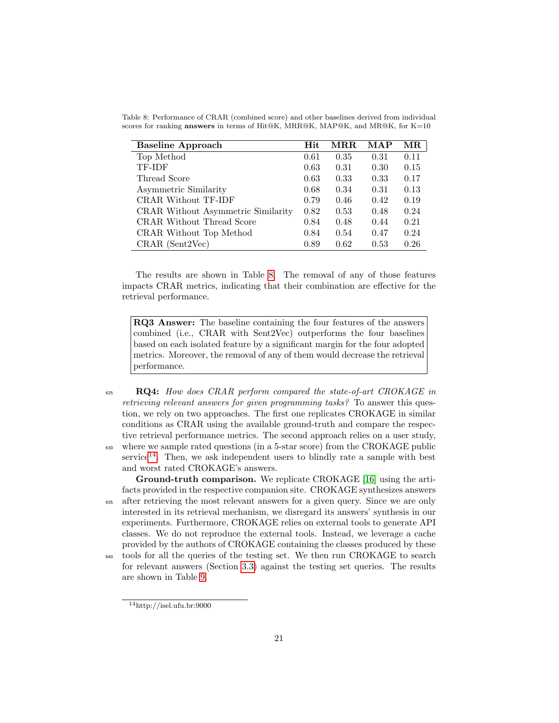| <b>Baseline Approach</b>           | Hit  | MR.R. | MAP  | MR.  |
|------------------------------------|------|-------|------|------|
| Top Method                         | 0.61 | 0.35  | 0.31 | 0.11 |
| TF-IDF                             | 0.63 | 0.31  | 0.30 | 0.15 |
| Thread Score                       | 0.63 | 0.33  | 0.33 | 0.17 |
| Asymmetric Similarity              | 0.68 | 0.34  | 0.31 | 0.13 |
| CRAR Without TF-IDF                | 0.79 | 0.46  | 0.42 | 0.19 |
| CRAR Without Asymmetric Similarity | 0.82 | 0.53  | 0.48 | 0.24 |
| CRAR Without Thread Score          | 0.84 | 0.48  | 0.44 | 0.21 |
| CRAR Without Top Method            | 0.84 | 0.54  | 0.47 | 0.24 |
| $CRAR$ (Sent2Vec)                  | 0.89 | 0.62  | 0.53 | 0.26 |

<span id="page-20-0"></span>Table 8: Performance of CRAR (combined score) and other baselines derived from individual scores for ranking answers in terms of Hit@K, MRR@K, MAP@K, and MR@K, for K=10

The results are shown in Table [8.](#page-20-0) The removal of any of those features impacts CRAR metrics, indicating that their combination are effective for the retrieval performance.

RQ3 Answer: The baseline containing the four features of the answers combined (i.e., CRAR with Sent2Vec) outperforms the four baselines based on each isolated feature by a significant margin for the four adopted metrics. Moreover, the removal of any of them would decrease the retrieval performance.

625 RQ4: How does CRAR perform compared the state-of-art CROKAGE in retrieving relevant answers for given programming tasks? To answer this question, we rely on two approaches. The first one replicates CROKAGE in similar conditions as CRAR using the available ground-truth and compare the respective retrieval performance metrics. The second approach relies on a user study, <sup>630</sup> where we sample rated questions (in a 5-star score) from the CROKAGE public  $s$ ervice<sup>[14](#page-20-1)</sup>. Then, we ask independent users to blindly rate a sample with best and worst rated CROKAGE's answers.

Ground-truth comparison. We replicate CROKAGE [\[16\]](#page-27-10) using the artifacts provided in the respective companion site. CROKAGE synthesizes answers <sup>635</sup> after retrieving the most relevant answers for a given query. Since we are only interested in its retrieval mechanism, we disregard its answers' synthesis in our experiments. Furthermore, CROKAGE relies on external tools to generate API classes. We do not reproduce the external tools. Instead, we leverage a cache provided by the authors of CROKAGE containing the classes produced by these

<sup>640</sup> tools for all the queries of the testing set. We then run CROKAGE to search for relevant answers (Section [3.3\)](#page-9-1) against the testing set queries. The results are shown in Table [9.](#page-21-0)

<span id="page-20-1"></span> $14$ http://isel.ufu.br:9000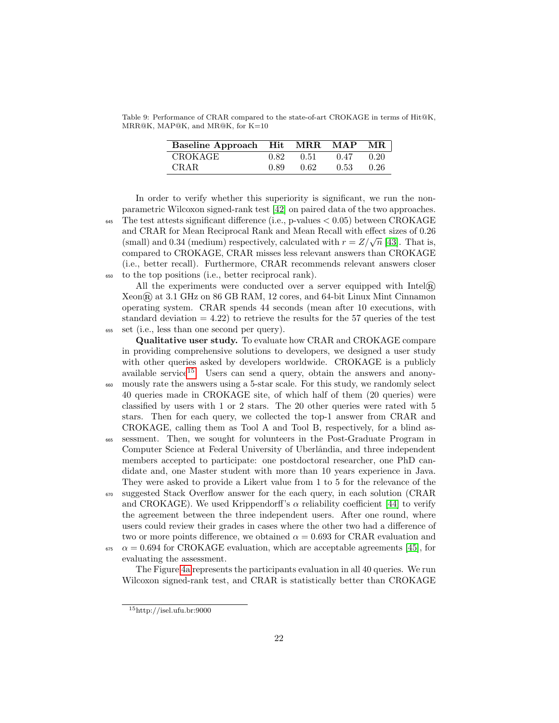<span id="page-21-0"></span>Table 9: Performance of CRAR compared to the state-of-art CROKAGE in terms of Hit@K, MRR@K, MAP@K, and MR@K, for K=10

| Baseline Approach Hit MRR |      |      | <b>MAP</b> | MR.  |
|---------------------------|------|------|------------|------|
| CROKAGE                   | 0.82 | 0.51 | 0.47       | 0.20 |
| CRAR.                     | 0.89 | 0.62 | 0.53       | 0.26 |

In order to verify whether this superiority is significant, we run the nonparametric Wilcoxon signed-rank test [\[42\]](#page-29-9) on paired data of the two approaches. The test attests significant difference (i.e., p-values  $< 0.05$ ) between CROKAGE and CRAR for Mean Reciprocal Rank and Mean Recall with effect sizes of 0.26 and CRAR for Mean Reciprocal Rank and Mean Recall with effect sizes of 0.20 (small) and 0.34 (medium) respectively, calculated with  $r = Z/\sqrt{n}$  [\[43\]](#page-29-10). That is, compared to CROKAGE, CRAR misses less relevant answers than CROKAGE (i.e., better recall). Furthermore, CRAR recommends relevant answers closer <sup>650</sup> to the top positions (i.e., better reciprocal rank).

All the experiments were conducted over a server equipped with  $Intel(\widehat{R})$ Xeon® at 3.1 GHz on 86 GB RAM, 12 cores, and 64-bit Linux Mint Cinnamon operating system. CRAR spends 44 seconds (mean after 10 executions, with standard deviation  $= 4.22$ ) to retrieve the results for the 57 queries of the test <sup>655</sup> set (i.e., less than one second per query).

Qualitative user study. To evaluate how CRAR and CROKAGE compare in providing comprehensive solutions to developers, we designed a user study with other queries asked by developers worldwide. CROKAGE is a publicly available service<sup>[15](#page-21-1)</sup>. Users can send a query, obtain the answers and anony-<sup>660</sup> mously rate the answers using a 5-star scale. For this study, we randomly select

- 40 queries made in CROKAGE site, of which half of them (20 queries) were classified by users with 1 or 2 stars. The 20 other queries were rated with 5 stars. Then for each query, we collected the top-1 answer from CRAR and CROKAGE, calling them as Tool A and Tool B, respectively, for a blind as-<sup>665</sup> sessment. Then, we sought for volunteers in the Post-Graduate Program in
- Computer Science at Federal University of Uberlândia, and three independent members accepted to participate: one postdoctoral researcher, one PhD candidate and, one Master student with more than 10 years experience in Java. They were asked to provide a Likert value from 1 to 5 for the relevance of the
- <sup>670</sup> suggested Stack Overflow answer for the each query, in each solution (CRAR and CROKAGE). We used Krippendorff's  $\alpha$  reliability coefficient [\[44\]](#page-29-11) to verify the agreement between the three independent users. After one round, where users could review their grades in cases where the other two had a difference of two or more points difference, we obtained  $\alpha = 0.693$  for CRAR evaluation and  $\alpha = 0.694$  for CROKAGE evaluation, which are acceptable agreements [\[45\]](#page-29-12), for
	- evaluating the assessment.

The Figure [4a](#page-22-0) represents the participants evaluation in all 40 queries. We run Wilcoxon signed-rank test, and CRAR is statistically better than CROKAGE

<span id="page-21-1"></span> $15$ http://isel.ufu.br:9000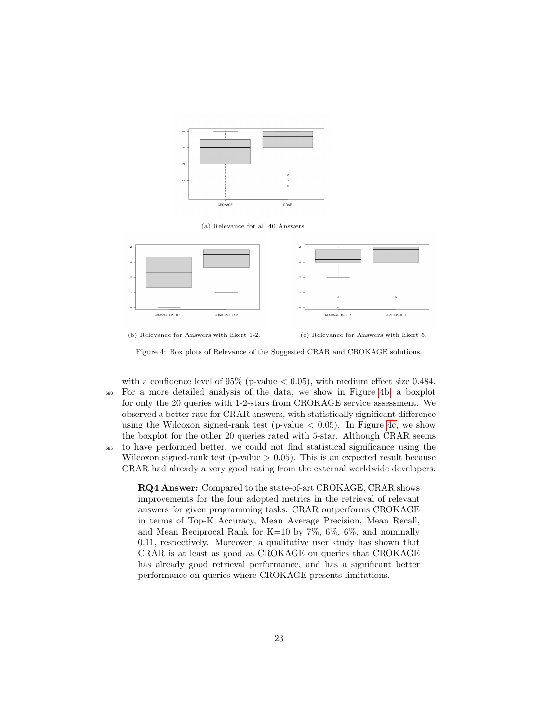<span id="page-22-0"></span>





(b) Relevance for Answers with likert 1-2. (c) Relevance for Answers with likert 5.

Figure 4: Box plots of Relevance of the Suggested CRAR and CROKAGE solutions.

with a confidence level of  $95\%$  (p-value  $< 0.05$ ), with medium effect size 0.484. <sup>680</sup> For a more detailed analysis of the data, we show in Figure [4b,](#page-22-0) a boxplot for only the 20 queries with 1-2-stars from CROKAGE service assessment. We observed a better rate for CRAR answers, with statistically significant difference using the Wilcoxon signed-rank test (p-value  $< 0.05$ ). In Figure [4c,](#page-22-0) we show the boxplot for the other 20 queries rated with 5-star. Although CRAR seems <sup>685</sup> to have performed better, we could not find statistical significance using the Wilcoxon signed-rank test (p-value  $> 0.05$ ). This is an expected result because

CRAR had already a very good rating from the external worldwide developers.

RQ4 Answer: Compared to the state-of-art CROKAGE, CRAR shows improvements for the four adopted metrics in the retrieval of relevant answers for given programming tasks. CRAR outperforms CROKAGE in terms of Top-K Accuracy, Mean Average Precision, Mean Recall, and Mean Reciprocal Rank for K=10 by  $7\%$ ,  $6\%$ ,  $6\%$ , and nominally 0.11, respectively. Moreover, a qualitative user study has shown that CRAR is at least as good as CROKAGE on queries that CROKAGE has already good retrieval performance, and has a significant better performance on queries where CROKAGE presents limitations.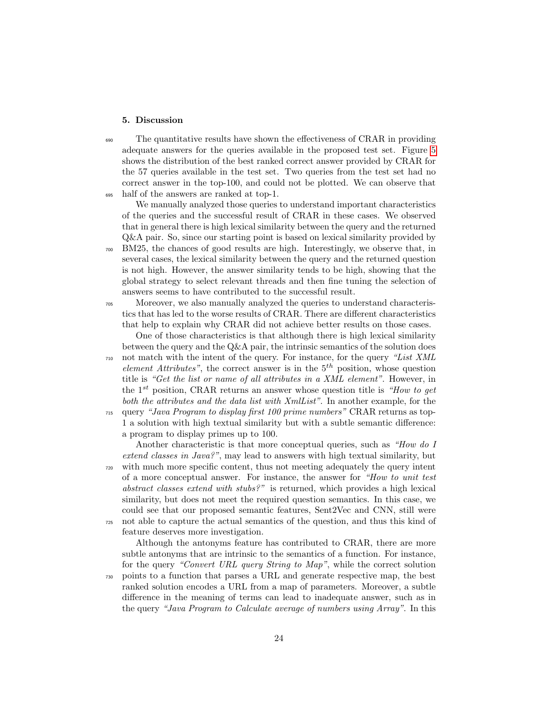#### <span id="page-23-0"></span>5. Discussion

<sup>690</sup> The quantitative results have shown the effectiveness of CRAR in providing adequate answers for the queries available in the proposed test set. Figure [5](#page-24-1) shows the distribution of the best ranked correct answer provided by CRAR for the 57 queries available in the test set. Two queries from the test set had no correct answer in the top-100, and could not be plotted. We can observe that <sup>695</sup> half of the answers are ranked at top-1.

We manually analyzed those queries to understand important characteristics of the queries and the successful result of CRAR in these cases. We observed that in general there is high lexical similarity between the query and the returned Q&A pair. So, since our starting point is based on lexical similarity provided by <sup>700</sup> BM25, the chances of good results are high. Interestingly, we observe that, in several cases, the lexical similarity between the query and the returned question is not high. However, the answer similarity tends to be high, showing that the global strategy to select relevant threads and then fine tuning the selection of answers seems to have contributed to the successful result.

<sup>705</sup> Moreover, we also manually analyzed the queries to understand characteristics that has led to the worse results of CRAR. There are different characteristics that help to explain why CRAR did not achieve better results on those cases.

One of those characteristics is that although there is high lexical similarity between the query and the  $Q\&A$  pair, the intrinsic semantics of the solution does  $_{710}$  not match with the intent of the query. For instance, for the query "List XML element Attributes", the correct answer is in the  $5<sup>th</sup>$  position, whose question title is "Get the list or name of all attributes in a XML element". However, in the  $1^{st}$  position, CRAR returns an answer whose question title is "How to get both the attributes and the data list with XmlList". In another example, for the <sup>715</sup> query "Java Program to display first 100 prime numbers" CRAR returns as top-

1 a solution with high textual similarity but with a subtle semantic difference: a program to display primes up to 100.

Another characteristic is that more conceptual queries, such as "How do I extend classes in Java?", may lead to answers with high textual similarity, but <sup>720</sup> with much more specific content, thus not meeting adequately the query intent of a more conceptual answer. For instance, the answer for "How to unit test abstract classes extend with stubs?" is returned, which provides a high lexical similarity, but does not meet the required question semantics. In this case, we could see that our proposed semantic features, Sent2Vec and CNN, still were <sup>725</sup> not able to capture the actual semantics of the question, and thus this kind of feature deserves more investigation.

Although the antonyms feature has contributed to CRAR, there are more subtle antonyms that are intrinsic to the semantics of a function. For instance, for the query "Convert URL query String to Map", while the correct solution

<sup>730</sup> points to a function that parses a URL and generate respective map, the best ranked solution encodes a URL from a map of parameters. Moreover, a subtle difference in the meaning of terms can lead to inadequate answer, such as in the query "Java Program to Calculate average of numbers using Array". In this

24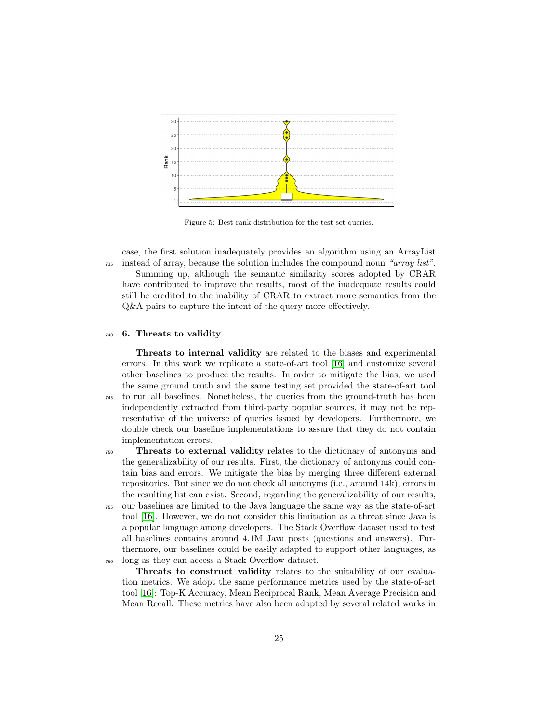<span id="page-24-1"></span>

Figure 5: Best rank distribution for the test set queries.

case, the first solution inadequately provides an algorithm using an ArrayList <sup>735</sup> instead of array, because the solution includes the compound noun "array list".

Summing up, although the semantic similarity scores adopted by CRAR have contributed to improve the results, most of the inadequate results could still be credited to the inability of CRAR to extract more semantics from the Q&A pairs to capture the intent of the query more effectively.

#### <span id="page-24-0"></span><sup>740</sup> 6. Threats to validity

Threats to internal validity are related to the biases and experimental errors. In this work we replicate a state-of-art tool [\[16\]](#page-27-10) and customize several other baselines to produce the results. In order to mitigate the bias, we used the same ground truth and the same testing set provided the state-of-art tool <sup>745</sup> to run all baselines. Nonetheless, the queries from the ground-truth has been independently extracted from third-party popular sources, it may not be representative of the universe of queries issued by developers. Furthermore, we double check our baseline implementations to assure that they do not contain implementation errors.

<sup>750</sup> Threats to external validity relates to the dictionary of antonyms and the generalizability of our results. First, the dictionary of antonyms could contain bias and errors. We mitigate the bias by merging three different external repositories. But since we do not check all antonyms (i.e., around 14k), errors in the resulting list can exist. Second, regarding the generalizability of our results,

<sup>755</sup> our baselines are limited to the Java language the same way as the state-of-art tool [\[16\]](#page-27-10). However, we do not consider this limitation as a threat since Java is a popular language among developers. The Stack Overflow dataset used to test all baselines contains around 4.1M Java posts (questions and answers). Furthermore, our baselines could be easily adapted to support other languages, as <sup>760</sup> long as they can access a Stack Overflow dataset.

Threats to construct validity relates to the suitability of our evaluation metrics. We adopt the same performance metrics used by the state-of-art tool [\[16\]](#page-27-10): Top-K Accuracy, Mean Reciprocal Rank, Mean Average Precision and Mean Recall. These metrics have also been adopted by several related works in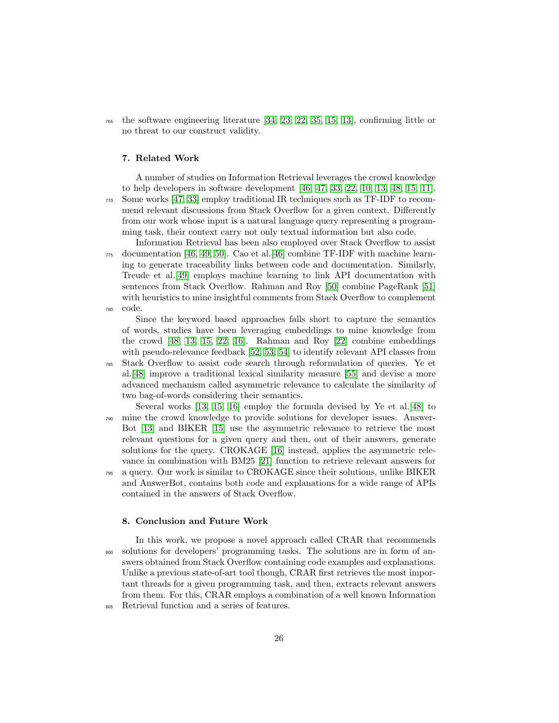<sup>765</sup> the software engineering literature [\[34,](#page-29-1) [23,](#page-28-4) [22,](#page-28-3) [35,](#page-29-2) [15,](#page-27-9) [13\]](#page-27-7), confirming little or no threat to our construct validity.

## <span id="page-25-0"></span>7. Related Work

A number of studies on Information Retrieval leverages the crowd knowledge to help developers in software development [\[46,](#page-29-13) [47,](#page-29-14) [33,](#page-29-0) [22,](#page-28-3) [10,](#page-27-4) [13,](#page-27-7) [48,](#page-29-15) [15,](#page-27-9) [11\]](#page-27-5). <sup>770</sup> Some works [\[47,](#page-29-14) [33\]](#page-29-0) employ traditional IR techniques such as TF-IDF to recommend relevant discussions from Stack Overflow for a given context. Differently from our work whose input is a natural language query representing a programming task, their context carry not only textual information but also code.

Information Retrieval has been also employed over Stack Overflow to assist <sup>775</sup> documentation [\[46,](#page-29-13) [49,](#page-29-16) [50\]](#page-30-0). Cao et al.[\[46\]](#page-29-13) combine TF-IDF with machine learning to generate traceability links between code and documentation. Similarly, Treude et al.[\[49\]](#page-29-16) employs machine learning to link API documentation with sentences from Stack Overflow. Rahman and Roy [\[50\]](#page-30-0) combine PageRank [\[51\]](#page-30-1) with heuristics to mine insightful comments from Stack Overflow to complement <sup>780</sup> code.

Since the keyword based approaches falls short to capture the semantics of words, studies have been leveraging embeddings to mine knowledge from the crowd [\[48,](#page-29-15) [13,](#page-27-7) [15,](#page-27-9) [22,](#page-28-3) [16\]](#page-27-10). Rahman and Roy [\[22\]](#page-28-3) combine embeddings with pseudo-relevance feedback [\[52,](#page-30-2) [53,](#page-30-3) [54\]](#page-30-4) to identify relevant API classes from <sup>785</sup> Stack Overflow to assist code search through reformulation of queries. Ye et al.[\[48\]](#page-29-15) improve a traditional lexical similarity measure [\[55\]](#page-30-5) and devise a more advanced mechanism called asymmetric relevance to calculate the similarity of two bag-of-words considering their semantics.

- Several works [\[13,](#page-27-7) [15,](#page-27-9) [16\]](#page-27-10) employ the formula devised by Ye et al.[\[48\]](#page-29-15) to <sup>790</sup> mine the crowd knowledge to provide solutions for developer issues. Answer-Bot [\[13\]](#page-27-7) and BIKER [\[15\]](#page-27-9) use the asymmetric relevance to retrieve the most relevant questions for a given query and then, out of their answers, generate solutions for the query. CROKAGE [\[16\]](#page-27-10) instead, applies the asymmetric relevance in combination with BM25 [\[21\]](#page-28-2) function to retrieve relevant answers for
- <sup>795</sup> a query. Our work is similar to CROKAGE since their solutions, unlike BIKER and AnswerBot, contains both code and explanations for a wide range of APIs contained in the answers of Stack Overflow.

## <span id="page-25-1"></span>8. Conclusion and Future Work

In this work, we propose a novel approach called CRAR that recommends <sup>800</sup> solutions for developers' programming tasks. The solutions are in form of answers obtained from Stack Overflow containing code examples and explanations. Unlike a previous state-of-art tool though, CRAR first retrieves the most important threads for a given programming task, and then, extracts relevant answers from them. For this, CRAR employs a combination of a well known Information <sup>805</sup> Retrieval function and a series of features.

26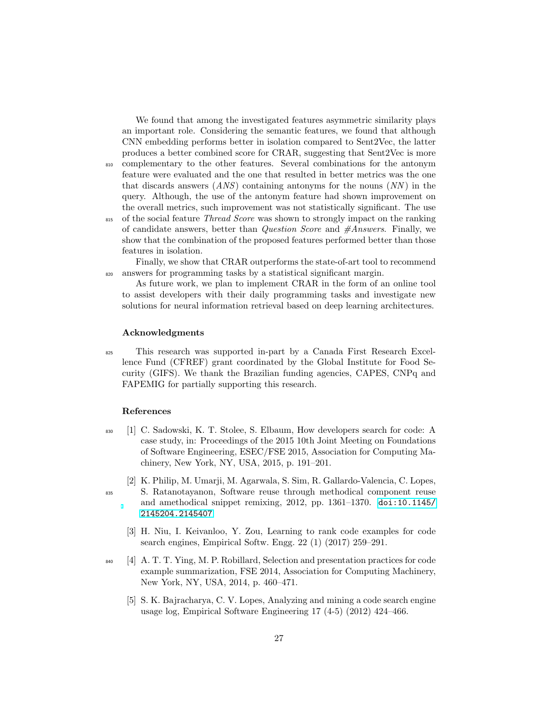We found that among the investigated features asymmetric similarity plays an important role. Considering the semantic features, we found that although CNN embedding performs better in isolation compared to Sent2Vec, the latter produces a better combined score for CRAR, suggesting that Sent2Vec is more <sup>810</sup> complementary to the other features. Several combinations for the antonym feature were evaluated and the one that resulted in better metrics was the one that discards answers  $(ANS)$  containing antonyms for the nouns  $(NN)$  in the query. Although, the use of the antonym feature had shown improvement on the overall metrics, such improvement was not statistically significant. The use <sup>815</sup> of the social feature *Thread Score* was shown to strongly impact on the ranking of candidate answers, better than *Question Score* and  $\#Answers$ . Finally, we show that the combination of the proposed features performed better than those features in isolation.

Finally, we show that CRAR outperforms the state-of-art tool to recommend <sup>820</sup> answers for programming tasks by a statistical significant margin.

As future work, we plan to implement CRAR in the form of an online tool to assist developers with their daily programming tasks and investigate new solutions for neural information retrieval based on deep learning architectures.

## Acknowledgments

<sup>825</sup> This research was supported in-part by a Canada First Research Excellence Fund (CFREF) grant coordinated by the Global Institute for Food Security (GIFS). We thank the Brazilian funding agencies, CAPES, CNPq and FAPEMIG for partially supporting this research.

## <span id="page-26-0"></span>References

- <sup>830</sup> [1] C. Sadowski, K. T. Stolee, S. Elbaum, How developers search for code: A case study, in: Proceedings of the 2015 10th Joint Meeting on Foundations of Software Engineering, ESEC/FSE 2015, Association for Computing Machinery, New York, NY, USA, 2015, p. 191–201.
- <span id="page-26-1"></span>[2] K. Philip, M. Umarji, M. Agarwala, S. Sim, R. Gallardo-Valencia, C. Lopes, <sup>835</sup> S. Ratanotayanon, Software reuse through methodical component reuse and amethodical snippet remixing, 2012, pp. 1361–1370. [doi:10.1145/](https://doi.org/10.1145/2145204.2145407) [2145204.2145407](https://doi.org/10.1145/2145204.2145407).
	- [3] H. Niu, I. Keivanloo, Y. Zou, Learning to rank code examples for code search engines, Empirical Softw. Engg. 22 (1) (2017) 259–291.
- <span id="page-26-4"></span><span id="page-26-3"></span><span id="page-26-2"></span>840 [4] A. T. T. Ying, M. P. Robillard, Selection and presentation practices for code example summarization, FSE 2014, Association for Computing Machinery, New York, NY, USA, 2014, p. 460–471.
	- [5] S. K. Bajracharya, C. V. Lopes, Analyzing and mining a code search engine usage log, Empirical Software Engineering 17 (4-5) (2012) 424–466.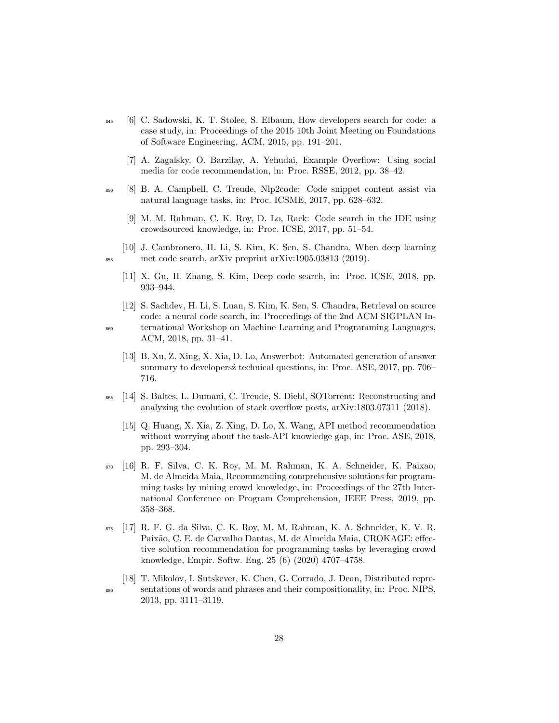- <span id="page-27-0"></span><sup>845</sup> [6] C. Sadowski, K. T. Stolee, S. Elbaum, How developers search for code: a case study, in: Proceedings of the 2015 10th Joint Meeting on Foundations of Software Engineering, ACM, 2015, pp. 191–201.
	- [7] A. Zagalsky, O. Barzilay, A. Yehudai, Example Overflow: Using social media for code recommendation, in: Proc. RSSE, 2012, pp. 38–42.
- <span id="page-27-3"></span><span id="page-27-2"></span><span id="page-27-1"></span><sup>850</sup> [8] B. A. Campbell, C. Treude, Nlp2code: Code snippet content assist via natural language tasks, in: Proc. ICSME, 2017, pp. 628–632.
	- [9] M. M. Rahman, C. K. Roy, D. Lo, Rack: Code search in the IDE using crowdsourced knowledge, in: Proc. ICSE, 2017, pp. 51–54.
- <span id="page-27-5"></span><span id="page-27-4"></span>[10] J. Cambronero, H. Li, S. Kim, K. Sen, S. Chandra, When deep learning <sup>855</sup> met code search, arXiv preprint arXiv:1905.03813 (2019).
	- [11] X. Gu, H. Zhang, S. Kim, Deep code search, in: Proc. ICSE, 2018, pp. 933–944.
- <span id="page-27-6"></span>[12] S. Sachdev, H. Li, S. Luan, S. Kim, K. Sen, S. Chandra, Retrieval on source code: a neural code search, in: Proceedings of the 2nd ACM SIGPLAN In-<sup>860</sup> ternational Workshop on Machine Learning and Programming Languages, ACM, 2018, pp. 31–41.
	- [13] B. Xu, Z. Xing, X. Xia, D. Lo, Answerbot: Automated generation of answer summary to developersz technical questions, in: Proc. ASE, 2017, pp. 706– 716.
- <span id="page-27-9"></span><span id="page-27-8"></span><span id="page-27-7"></span><sup>865</sup> [14] S. Baltes, L. Dumani, C. Treude, S. Diehl, SOTorrent: Reconstructing and analyzing the evolution of stack overflow posts, arXiv:1803.07311 (2018).
	- [15] Q. Huang, X. Xia, Z. Xing, D. Lo, X. Wang, API method recommendation without worrying about the task-API knowledge gap, in: Proc. ASE, 2018, pp. 293–304.
- <span id="page-27-10"></span><sup>870</sup> [16] R. F. Silva, C. K. Roy, M. M. Rahman, K. A. Schneider, K. Paixao, M. de Almeida Maia, Recommending comprehensive solutions for programming tasks by mining crowd knowledge, in: Proceedings of the 27th International Conference on Program Comprehension, IEEE Press, 2019, pp. 358–368.
- <span id="page-27-11"></span><sup>875</sup> [17] R. F. G. da Silva, C. K. Roy, M. M. Rahman, K. A. Schneider, K. V. R. Paixão, C. E. de Carvalho Dantas, M. de Almeida Maia, CROKAGE: effective solution recommendation for programming tasks by leveraging crowd knowledge, Empir. Softw. Eng. 25 (6) (2020) 4707–4758.
- <span id="page-27-12"></span>[18] T. Mikolov, I. Sutskever, K. Chen, G. Corrado, J. Dean, Distributed repre-<sup>880</sup> sentations of words and phrases and their compositionality, in: Proc. NIPS, 2013, pp. 3111–3119.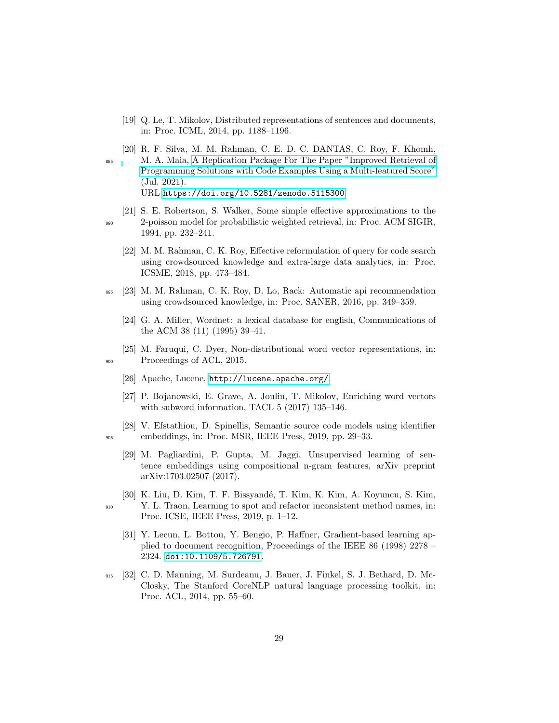- <span id="page-28-0"></span>[19] Q. Le, T. Mikolov, Distributed representations of sentences and documents, in: Proc. ICML, 2014, pp. 1188–1196.
- <span id="page-28-1"></span>[20] R. F. Silva, M. M. Rahman, C. E. D. C. DANTAS, C. Roy, F. Khomh, <sup>885</sup> M. A. Maia, [A Replication Package For The Paper "Improved Retrieval of](https://doi.org/10.5281/zenodo.5115300) [Programming Solutions with Code Examples Using a Multi-featured Score"](https://doi.org/10.5281/zenodo.5115300) (Jul. 2021). URL <https://doi.org/10.5281/zenodo.5115300>
- <span id="page-28-3"></span><span id="page-28-2"></span>[21] S. E. Robertson, S. Walker, Some simple effective approximations to the <sup>890</sup> 2-poisson model for probabilistic weighted retrieval, in: Proc. ACM SIGIR, 1994, pp. 232–241.
	- [22] M. M. Rahman, C. K. Roy, Effective reformulation of query for code search using crowdsourced knowledge and extra-large data analytics, in: Proc. ICSME, 2018, pp. 473–484.
- <span id="page-28-5"></span><span id="page-28-4"></span><sup>895</sup> [23] M. M. Rahman, C. K. Roy, D. Lo, Rack: Automatic api recommendation using crowdsourced knowledge, in: Proc. SANER, 2016, pp. 349–359.
	- [24] G. A. Miller, Wordnet: a lexical database for english, Communications of the ACM 38 (11) (1995) 39–41.
- <span id="page-28-7"></span><span id="page-28-6"></span>[25] M. Faruqui, C. Dyer, Non-distributional word vector representations, in: 900 Proceedings of ACL, 2015.
	- [26] Apache, Lucene, <http://lucene.apache.org/>.
	- [27] P. Bojanowski, E. Grave, A. Joulin, T. Mikolov, Enriching word vectors with subword information, TACL 5 (2017) 135–146.
- <span id="page-28-10"></span><span id="page-28-9"></span><span id="page-28-8"></span>[28] V. Efstathiou, D. Spinellis, Semantic source code models using identifier <sup>905</sup> embeddings, in: Proc. MSR, IEEE Press, 2019, pp. 29–33.
	- [29] M. Pagliardini, P. Gupta, M. Jaggi, Unsupervised learning of sentence embeddings using compositional n-gram features, arXiv preprint arXiv:1703.02507 (2017).
- <span id="page-28-12"></span><span id="page-28-11"></span>[30] K. Liu, D. Kim, T. F. Bissyandé, T. Kim, K. Kim, A. Koyuncu, S. Kim, <sup>910</sup> Y. L. Traon, Learning to spot and refactor inconsistent method names, in: Proc. ICSE, IEEE Press, 2019, p. 1–12.
	- [31] Y. Lecun, L. Bottou, Y. Bengio, P. Haffner, Gradient-based learning applied to document recognition, Proceedings of the IEEE 86 (1998) 2278 – 2324. [doi:10.1109/5.726791](https://doi.org/10.1109/5.726791).
- <span id="page-28-13"></span><sup>915</sup> [32] C. D. Manning, M. Surdeanu, J. Bauer, J. Finkel, S. J. Bethard, D. Mc-Closky, The Stanford CoreNLP natural language processing toolkit, in: Proc. ACL, 2014, pp. 55–60.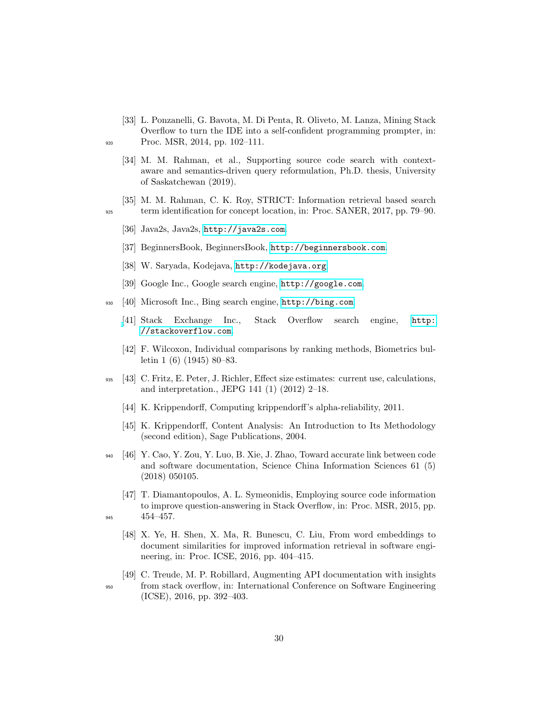- <span id="page-29-1"></span><span id="page-29-0"></span>[33] L. Ponzanelli, G. Bavota, M. Di Penta, R. Oliveto, M. Lanza, Mining Stack Overflow to turn the IDE into a self-confident programming prompter, in: <sup>920</sup> Proc. MSR, 2014, pp. 102–111.
	- [34] M. M. Rahman, et al., Supporting source code search with contextaware and semantics-driven query reformulation, Ph.D. thesis, University of Saskatchewan (2019).
- <span id="page-29-2"></span>[35] M. M. Rahman, C. K. Roy, STRICT: Information retrieval based search <sup>925</sup> term identification for concept location, in: Proc. SANER, 2017, pp. 79–90.

- <span id="page-29-3"></span>[36] Java2s, Java2s, <http://java2s.com>.
- <span id="page-29-4"></span>[37] BeginnersBook, BeginnersBook, <http://beginnersbook.com>.
- <span id="page-29-5"></span>[38] W. Saryada, Kodejava, <http://kodejava.org>.
- <span id="page-29-7"></span><span id="page-29-6"></span>[39] Google Inc., Google search engine, <http://google.com>.
- <span id="page-29-8"></span><sup>930</sup> [40] Microsoft Inc., Bing search engine, <http://bing.com>.
	- [\[](http://stackoverflow.com)41] Stack Exchange Inc., Stack Overflow search engine, [http:](http://stackoverflow.com) [//stackoverflow.com](http://stackoverflow.com).
	- [42] F. Wilcoxon, Individual comparisons by ranking methods, Biometrics bulletin 1 (6) (1945) 80–83.
- <span id="page-29-11"></span><span id="page-29-10"></span><span id="page-29-9"></span><sup>935</sup> [43] C. Fritz, E. Peter, J. Richler, Effect size estimates: current use, calculations, and interpretation., JEPG 141 (1) (2012) 2–18.
	- [44] K. Krippendorff, Computing krippendorff's alpha-reliability, 2011.
	- [45] K. Krippendorff, Content Analysis: An Introduction to Its Methodology (second edition), Sage Publications, 2004.
- <span id="page-29-13"></span><span id="page-29-12"></span><sup>940</sup> [46] Y. Cao, Y. Zou, Y. Luo, B. Xie, J. Zhao, Toward accurate link between code and software documentation, Science China Information Sciences 61 (5) (2018) 050105.
- <span id="page-29-15"></span><span id="page-29-14"></span>[47] T. Diamantopoulos, A. L. Symeonidis, Employing source code information to improve question-answering in Stack Overflow, in: Proc. MSR, 2015, pp. <sup>945</sup> 454–457.
	- [48] X. Ye, H. Shen, X. Ma, R. Bunescu, C. Liu, From word embeddings to document similarities for improved information retrieval in software engineering, in: Proc. ICSE, 2016, pp. 404–415.
- <span id="page-29-16"></span>[49] C. Treude, M. P. Robillard, Augmenting API documentation with insights <sup>950</sup> from stack overflow, in: International Conference on Software Engineering (ICSE), 2016, pp. 392–403.